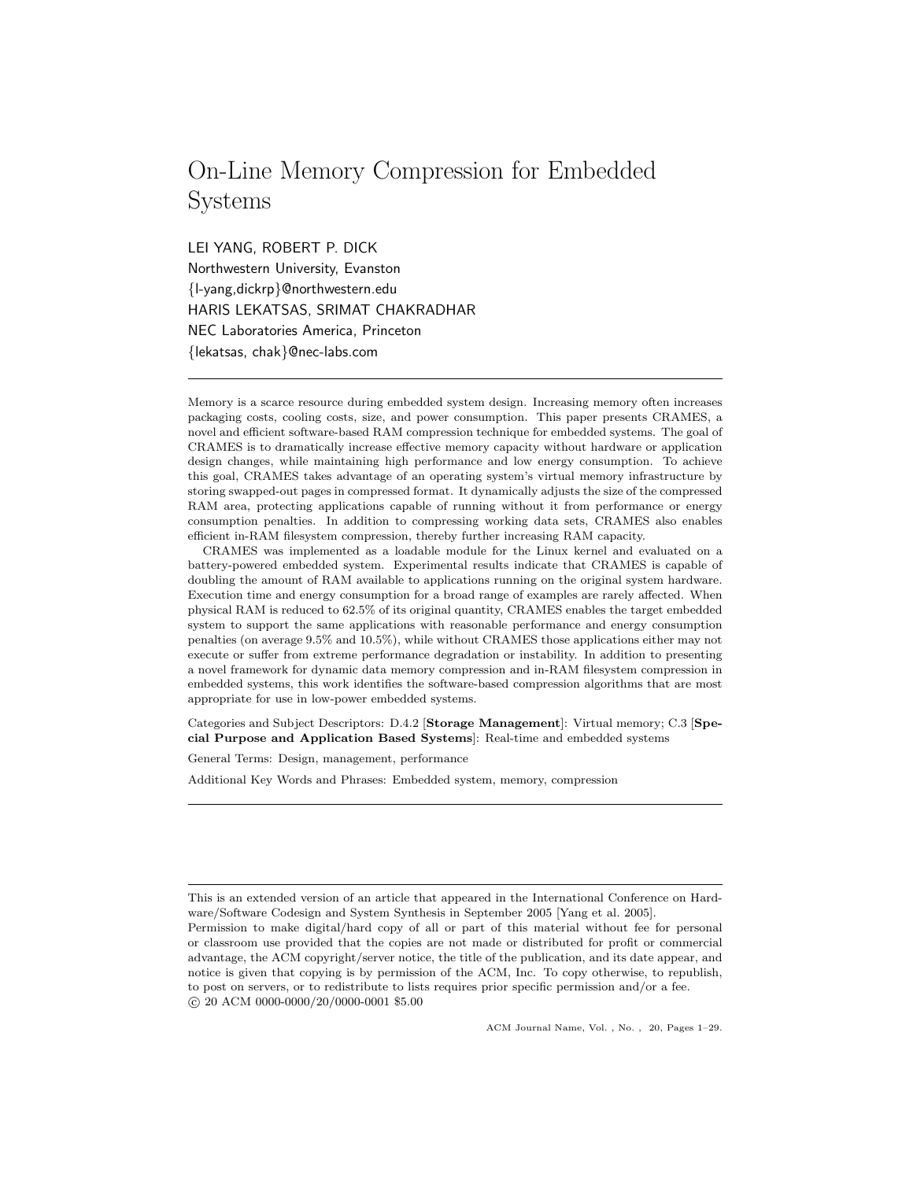# On-Line Memory Compression for Embedded Systems

LEI YANG, ROBERT P. DICK Northwestern University, Evanston {l-yang,dickrp}@northwestern.edu HARIS LEKATSAS, SRIMAT CHAKRADHAR NEC Laboratories America, Princeton {lekatsas, chak}@nec-labs.com

Memory is a scarce resource during embedded system design. Increasing memory often increases packaging costs, cooling costs, size, and power consumption. This paper presents CRAMES, a novel and efficient software-based RAM compression technique for embedded systems. The goal of CRAMES is to dramatically increase effective memory capacity without hardware or application design changes, while maintaining high performance and low energy consumption. To achieve this goal, CRAMES takes advantage of an operating system's virtual memory infrastructure by storing swapped-out pages in compressed format. It dynamically adjusts the size of the compressed RAM area, protecting applications capable of running without it from performance or energy consumption penalties. In addition to compressing working data sets, CRAMES also enables efficient in-RAM filesystem compression, thereby further increasing RAM capacity.

CRAMES was implemented as a loadable module for the Linux kernel and evaluated on a battery-powered embedded system. Experimental results indicate that CRAMES is capable of doubling the amount of RAM available to applications running on the original system hardware. Execution time and energy consumption for a broad range of examples are rarely affected. When physical RAM is reduced to 62.5% of its original quantity, CRAMES enables the target embedded system to support the same applications with reasonable performance and energy consumption penalties (on average 9.5% and 10.5%), while without CRAMES those applications either may not execute or suffer from extreme performance degradation or instability. In addition to presenting a novel framework for dynamic data memory compression and in-RAM filesystem compression in embedded systems, this work identifies the software-based compression algorithms that are most appropriate for use in low-power embedded systems.

Categories and Subject Descriptors: D.4.2 [Storage Management]: Virtual memory; C.3 [Special Purpose and Application Based Systems]: Real-time and embedded systems

General Terms: Design, management, performance

Additional Key Words and Phrases: Embedded system, memory, compression

This is an extended version of an article that appeared in the International Conference on Hardware/Software Codesign and System Synthesis in September 2005 [Yang et al. 2005].

Permission to make digital/hard copy of all or part of this material without fee for personal or classroom use provided that the copies are not made or distributed for profit or commercial advantage, the ACM copyright/server notice, the title of the publication, and its date appear, and notice is given that copying is by permission of the ACM, Inc. To copy otherwise, to republish, to post on servers, or to redistribute to lists requires prior specific permission and/or a fee. °c 20 ACM 0000-0000/20/0000-0001 \$5.00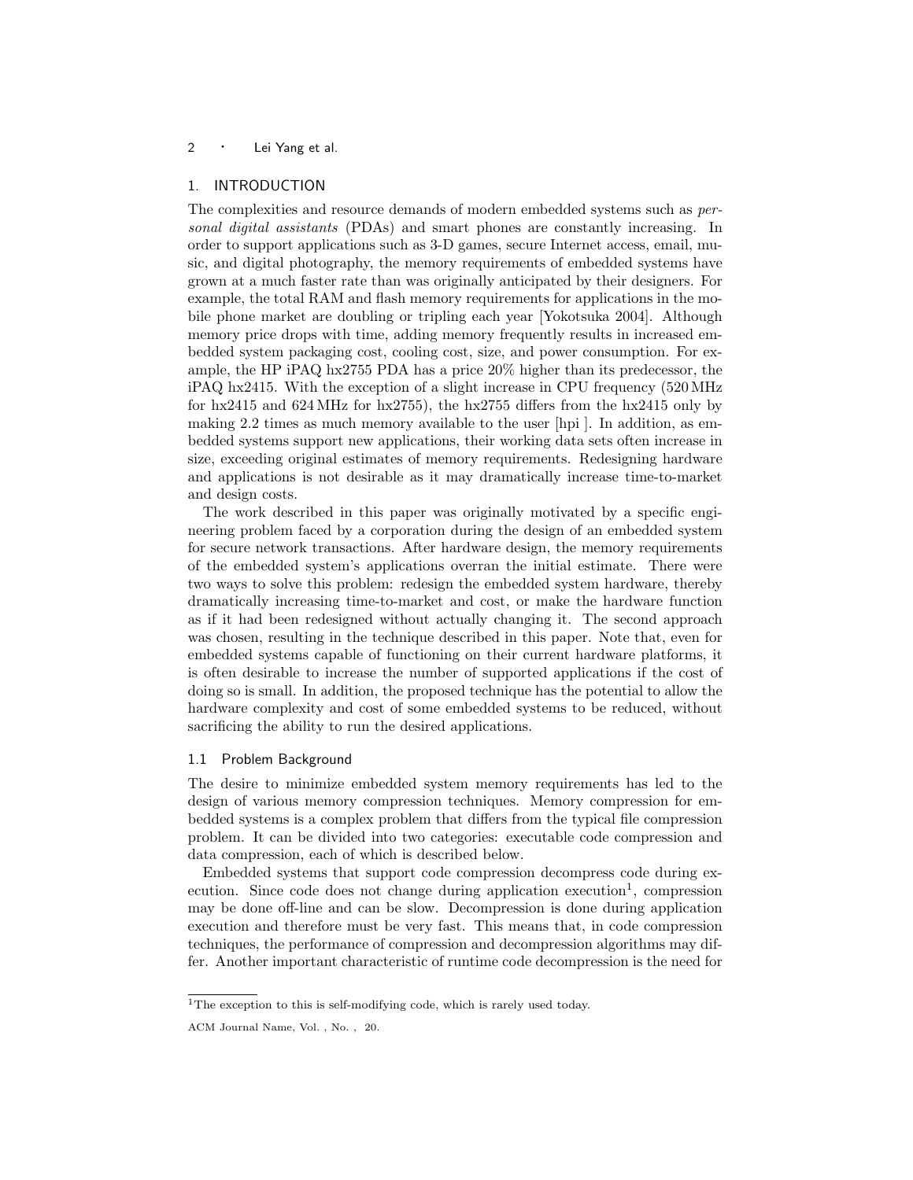## 1. INTRODUCTION

The complexities and resource demands of modern embedded systems such as personal digital assistants (PDAs) and smart phones are constantly increasing. In order to support applications such as 3-D games, secure Internet access, email, music, and digital photography, the memory requirements of embedded systems have grown at a much faster rate than was originally anticipated by their designers. For example, the total RAM and flash memory requirements for applications in the mobile phone market are doubling or tripling each year [Yokotsuka 2004]. Although memory price drops with time, adding memory frequently results in increased embedded system packaging cost, cooling cost, size, and power consumption. For example, the HP iPAQ hx2755 PDA has a price 20% higher than its predecessor, the iPAQ hx2415. With the exception of a slight increase in CPU frequency (520 MHz for hx2415 and 624 MHz for hx2755), the hx2755 differs from the hx2415 only by making 2.2 times as much memory available to the user [hpi ]. In addition, as embedded systems support new applications, their working data sets often increase in size, exceeding original estimates of memory requirements. Redesigning hardware and applications is not desirable as it may dramatically increase time-to-market and design costs.

The work described in this paper was originally motivated by a specific engineering problem faced by a corporation during the design of an embedded system for secure network transactions. After hardware design, the memory requirements of the embedded system's applications overran the initial estimate. There were two ways to solve this problem: redesign the embedded system hardware, thereby dramatically increasing time-to-market and cost, or make the hardware function as if it had been redesigned without actually changing it. The second approach was chosen, resulting in the technique described in this paper. Note that, even for embedded systems capable of functioning on their current hardware platforms, it is often desirable to increase the number of supported applications if the cost of doing so is small. In addition, the proposed technique has the potential to allow the hardware complexity and cost of some embedded systems to be reduced, without sacrificing the ability to run the desired applications.

## 1.1 Problem Background

The desire to minimize embedded system memory requirements has led to the design of various memory compression techniques. Memory compression for embedded systems is a complex problem that differs from the typical file compression problem. It can be divided into two categories: executable code compression and data compression, each of which is described below.

Embedded systems that support code compression decompress code during execution. Since code does not change during application execution<sup>1</sup>, compression may be done off-line and can be slow. Decompression is done during application execution and therefore must be very fast. This means that, in code compression techniques, the performance of compression and decompression algorithms may differ. Another important characteristic of runtime code decompression is the need for

<sup>&</sup>lt;sup>1</sup>The exception to this is self-modifying code, which is rarely used today.

ACM Journal Name, Vol. , No. , 20.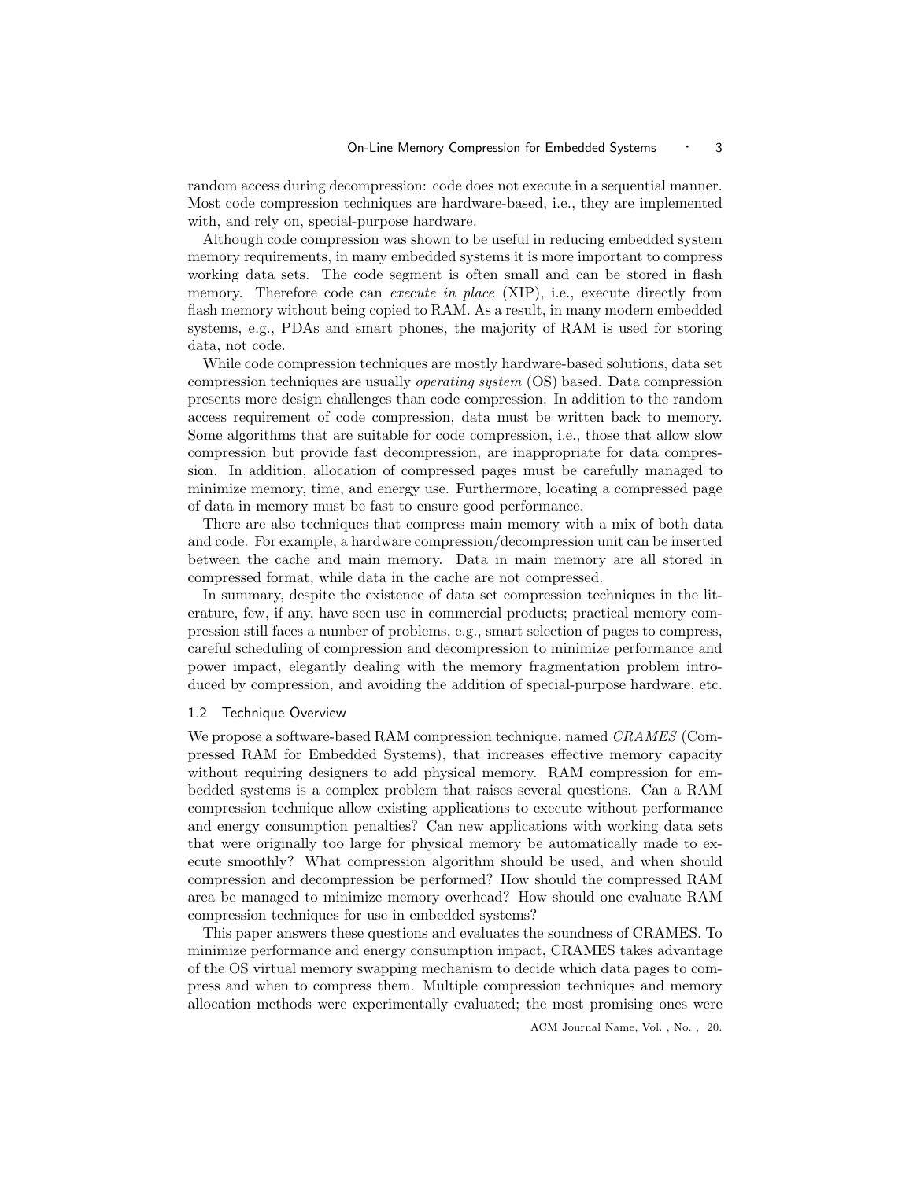random access during decompression: code does not execute in a sequential manner. Most code compression techniques are hardware-based, i.e., they are implemented with, and rely on, special-purpose hardware.

Although code compression was shown to be useful in reducing embedded system memory requirements, in many embedded systems it is more important to compress working data sets. The code segment is often small and can be stored in flash memory. Therefore code can execute in place (XIP), i.e., execute directly from flash memory without being copied to RAM. As a result, in many modern embedded systems, e.g., PDAs and smart phones, the majority of RAM is used for storing data, not code.

While code compression techniques are mostly hardware-based solutions, data set compression techniques are usually operating system (OS) based. Data compression presents more design challenges than code compression. In addition to the random access requirement of code compression, data must be written back to memory. Some algorithms that are suitable for code compression, i.e., those that allow slow compression but provide fast decompression, are inappropriate for data compression. In addition, allocation of compressed pages must be carefully managed to minimize memory, time, and energy use. Furthermore, locating a compressed page of data in memory must be fast to ensure good performance.

There are also techniques that compress main memory with a mix of both data and code. For example, a hardware compression/decompression unit can be inserted between the cache and main memory. Data in main memory are all stored in compressed format, while data in the cache are not compressed.

In summary, despite the existence of data set compression techniques in the literature, few, if any, have seen use in commercial products; practical memory compression still faces a number of problems, e.g., smart selection of pages to compress, careful scheduling of compression and decompression to minimize performance and power impact, elegantly dealing with the memory fragmentation problem introduced by compression, and avoiding the addition of special-purpose hardware, etc.

# 1.2 Technique Overview

We propose a software-based RAM compression technique, named CRAMES (Compressed RAM for Embedded Systems), that increases effective memory capacity without requiring designers to add physical memory. RAM compression for embedded systems is a complex problem that raises several questions. Can a RAM compression technique allow existing applications to execute without performance and energy consumption penalties? Can new applications with working data sets that were originally too large for physical memory be automatically made to execute smoothly? What compression algorithm should be used, and when should compression and decompression be performed? How should the compressed RAM area be managed to minimize memory overhead? How should one evaluate RAM compression techniques for use in embedded systems?

This paper answers these questions and evaluates the soundness of CRAMES. To minimize performance and energy consumption impact, CRAMES takes advantage of the OS virtual memory swapping mechanism to decide which data pages to compress and when to compress them. Multiple compression techniques and memory allocation methods were experimentally evaluated; the most promising ones were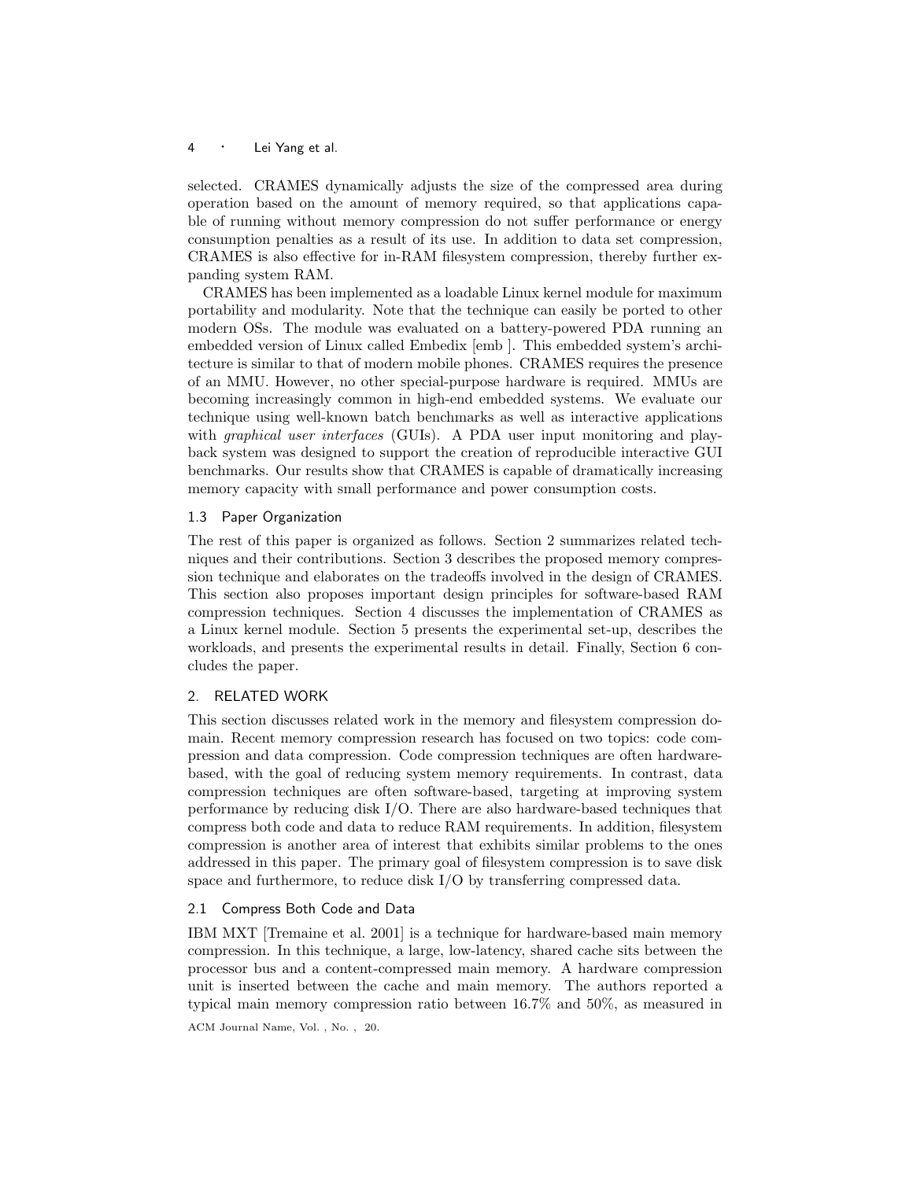selected. CRAMES dynamically adjusts the size of the compressed area during operation based on the amount of memory required, so that applications capable of running without memory compression do not suffer performance or energy consumption penalties as a result of its use. In addition to data set compression, CRAMES is also effective for in-RAM filesystem compression, thereby further expanding system RAM.

CRAMES has been implemented as a loadable Linux kernel module for maximum portability and modularity. Note that the technique can easily be ported to other modern OSs. The module was evaluated on a battery-powered PDA running an embedded version of Linux called Embedix [emb ]. This embedded system's architecture is similar to that of modern mobile phones. CRAMES requires the presence of an MMU. However, no other special-purpose hardware is required. MMUs are becoming increasingly common in high-end embedded systems. We evaluate our technique using well-known batch benchmarks as well as interactive applications with *graphical user interfaces* (GUIs). A PDA user input monitoring and playback system was designed to support the creation of reproducible interactive GUI benchmarks. Our results show that CRAMES is capable of dramatically increasing memory capacity with small performance and power consumption costs.

# 1.3 Paper Organization

The rest of this paper is organized as follows. Section 2 summarizes related techniques and their contributions. Section 3 describes the proposed memory compression technique and elaborates on the tradeoffs involved in the design of CRAMES. This section also proposes important design principles for software-based RAM compression techniques. Section 4 discusses the implementation of CRAMES as a Linux kernel module. Section 5 presents the experimental set-up, describes the workloads, and presents the experimental results in detail. Finally, Section 6 concludes the paper.

## 2. RELATED WORK

This section discusses related work in the memory and filesystem compression domain. Recent memory compression research has focused on two topics: code compression and data compression. Code compression techniques are often hardwarebased, with the goal of reducing system memory requirements. In contrast, data compression techniques are often software-based, targeting at improving system performance by reducing disk I/O. There are also hardware-based techniques that compress both code and data to reduce RAM requirements. In addition, filesystem compression is another area of interest that exhibits similar problems to the ones addressed in this paper. The primary goal of filesystem compression is to save disk space and furthermore, to reduce disk I/O by transferring compressed data.

# 2.1 Compress Both Code and Data

IBM MXT [Tremaine et al. 2001] is a technique for hardware-based main memory compression. In this technique, a large, low-latency, shared cache sits between the processor bus and a content-compressed main memory. A hardware compression unit is inserted between the cache and main memory. The authors reported a typical main memory compression ratio between 16.7% and 50%, as measured in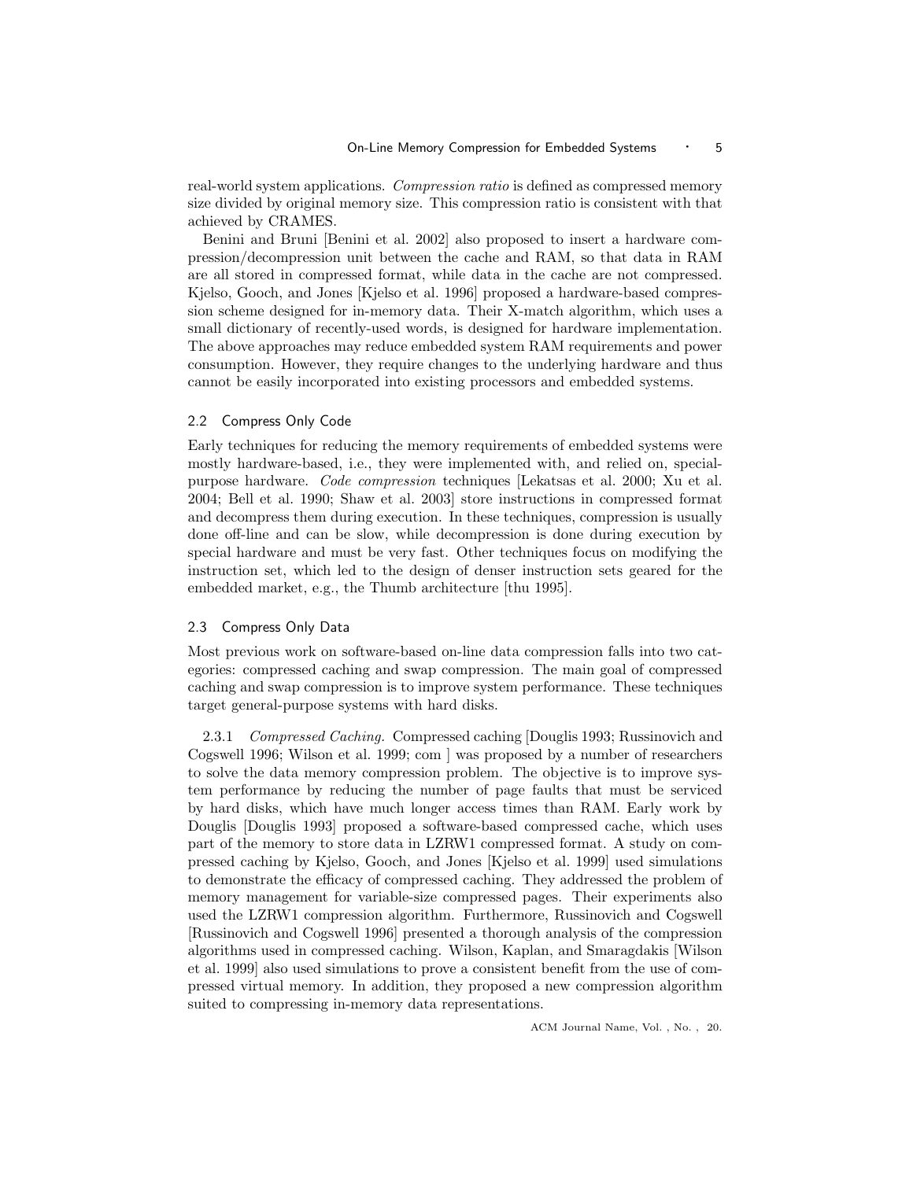real-world system applications. Compression ratio is defined as compressed memory size divided by original memory size. This compression ratio is consistent with that achieved by CRAMES.

Benini and Bruni [Benini et al. 2002] also proposed to insert a hardware compression/decompression unit between the cache and RAM, so that data in RAM are all stored in compressed format, while data in the cache are not compressed. Kjelso, Gooch, and Jones [Kjelso et al. 1996] proposed a hardware-based compression scheme designed for in-memory data. Their X-match algorithm, which uses a small dictionary of recently-used words, is designed for hardware implementation. The above approaches may reduce embedded system RAM requirements and power consumption. However, they require changes to the underlying hardware and thus cannot be easily incorporated into existing processors and embedded systems.

#### 2.2 Compress Only Code

Early techniques for reducing the memory requirements of embedded systems were mostly hardware-based, i.e., they were implemented with, and relied on, specialpurpose hardware. Code compression techniques [Lekatsas et al. 2000; Xu et al. 2004; Bell et al. 1990; Shaw et al. 2003] store instructions in compressed format and decompress them during execution. In these techniques, compression is usually done off-line and can be slow, while decompression is done during execution by special hardware and must be very fast. Other techniques focus on modifying the instruction set, which led to the design of denser instruction sets geared for the embedded market, e.g., the Thumb architecture [thu 1995].

## 2.3 Compress Only Data

Most previous work on software-based on-line data compression falls into two categories: compressed caching and swap compression. The main goal of compressed caching and swap compression is to improve system performance. These techniques target general-purpose systems with hard disks.

2.3.1 Compressed Caching. Compressed caching [Douglis 1993; Russinovich and Cogswell 1996; Wilson et al. 1999; com ] was proposed by a number of researchers to solve the data memory compression problem. The objective is to improve system performance by reducing the number of page faults that must be serviced by hard disks, which have much longer access times than RAM. Early work by Douglis [Douglis 1993] proposed a software-based compressed cache, which uses part of the memory to store data in LZRW1 compressed format. A study on compressed caching by Kjelso, Gooch, and Jones [Kjelso et al. 1999] used simulations to demonstrate the efficacy of compressed caching. They addressed the problem of memory management for variable-size compressed pages. Their experiments also used the LZRW1 compression algorithm. Furthermore, Russinovich and Cogswell [Russinovich and Cogswell 1996] presented a thorough analysis of the compression algorithms used in compressed caching. Wilson, Kaplan, and Smaragdakis [Wilson et al. 1999] also used simulations to prove a consistent benefit from the use of compressed virtual memory. In addition, they proposed a new compression algorithm suited to compressing in-memory data representations.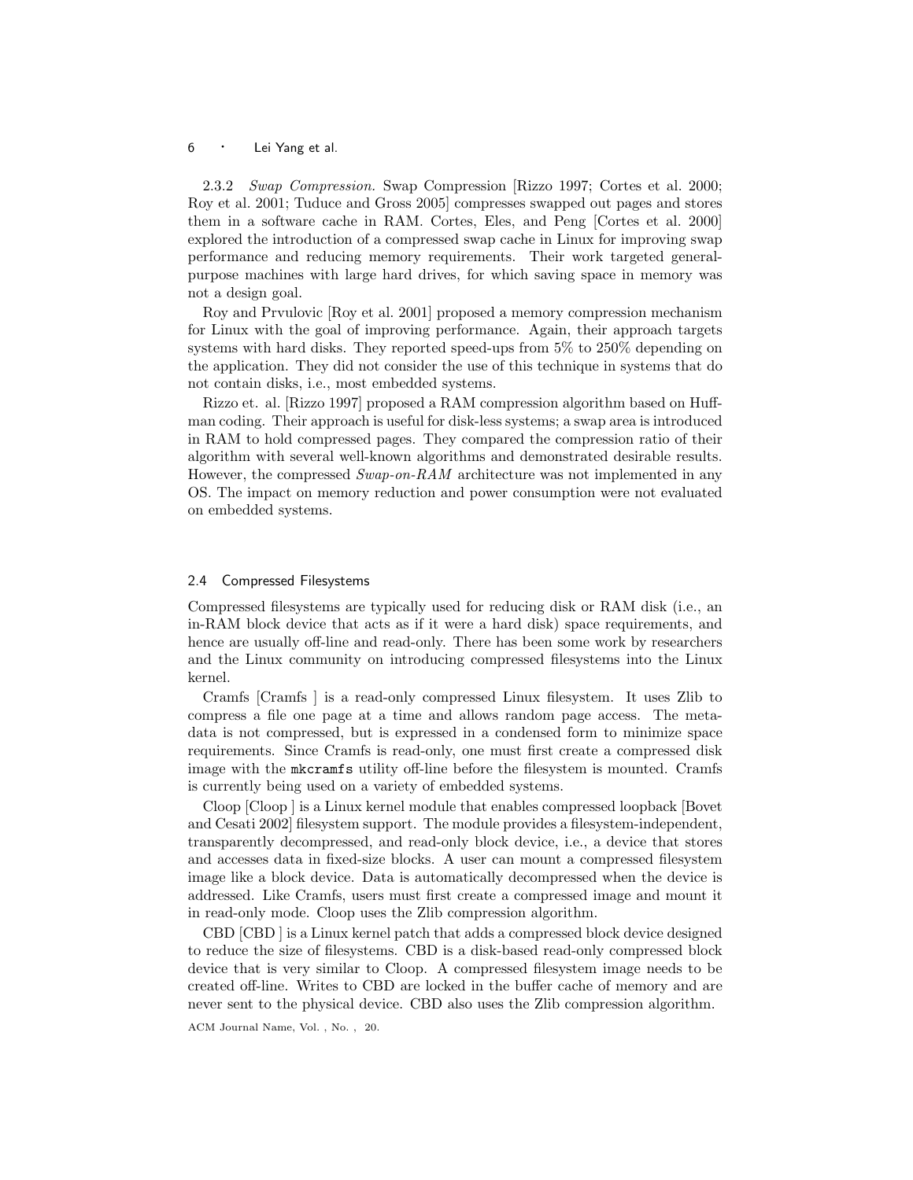2.3.2 Swap Compression. Swap Compression [Rizzo 1997; Cortes et al. 2000; Roy et al. 2001; Tuduce and Gross 2005] compresses swapped out pages and stores them in a software cache in RAM. Cortes, Eles, and Peng [Cortes et al. 2000] explored the introduction of a compressed swap cache in Linux for improving swap performance and reducing memory requirements. Their work targeted generalpurpose machines with large hard drives, for which saving space in memory was not a design goal.

Roy and Prvulovic [Roy et al. 2001] proposed a memory compression mechanism for Linux with the goal of improving performance. Again, their approach targets systems with hard disks. They reported speed-ups from 5% to 250% depending on the application. They did not consider the use of this technique in systems that do not contain disks, i.e., most embedded systems.

Rizzo et. al. [Rizzo 1997] proposed a RAM compression algorithm based on Huffman coding. Their approach is useful for disk-less systems; a swap area is introduced in RAM to hold compressed pages. They compared the compression ratio of their algorithm with several well-known algorithms and demonstrated desirable results. However, the compressed  $Swap-on-RAM$  architecture was not implemented in any OS. The impact on memory reduction and power consumption were not evaluated on embedded systems.

#### 2.4 Compressed Filesystems

Compressed filesystems are typically used for reducing disk or RAM disk (i.e., an in-RAM block device that acts as if it were a hard disk) space requirements, and hence are usually off-line and read-only. There has been some work by researchers and the Linux community on introducing compressed filesystems into the Linux kernel.

Cramfs [Cramfs ] is a read-only compressed Linux filesystem. It uses Zlib to compress a file one page at a time and allows random page access. The metadata is not compressed, but is expressed in a condensed form to minimize space requirements. Since Cramfs is read-only, one must first create a compressed disk image with the mkcramfs utility off-line before the filesystem is mounted. Cramfs is currently being used on a variety of embedded systems.

Cloop [Cloop ] is a Linux kernel module that enables compressed loopback [Bovet and Cesati 2002] filesystem support. The module provides a filesystem-independent, transparently decompressed, and read-only block device, i.e., a device that stores and accesses data in fixed-size blocks. A user can mount a compressed filesystem image like a block device. Data is automatically decompressed when the device is addressed. Like Cramfs, users must first create a compressed image and mount it in read-only mode. Cloop uses the Zlib compression algorithm.

CBD [CBD ] is a Linux kernel patch that adds a compressed block device designed to reduce the size of filesystems. CBD is a disk-based read-only compressed block device that is very similar to Cloop. A compressed filesystem image needs to be created off-line. Writes to CBD are locked in the buffer cache of memory and are never sent to the physical device. CBD also uses the Zlib compression algorithm.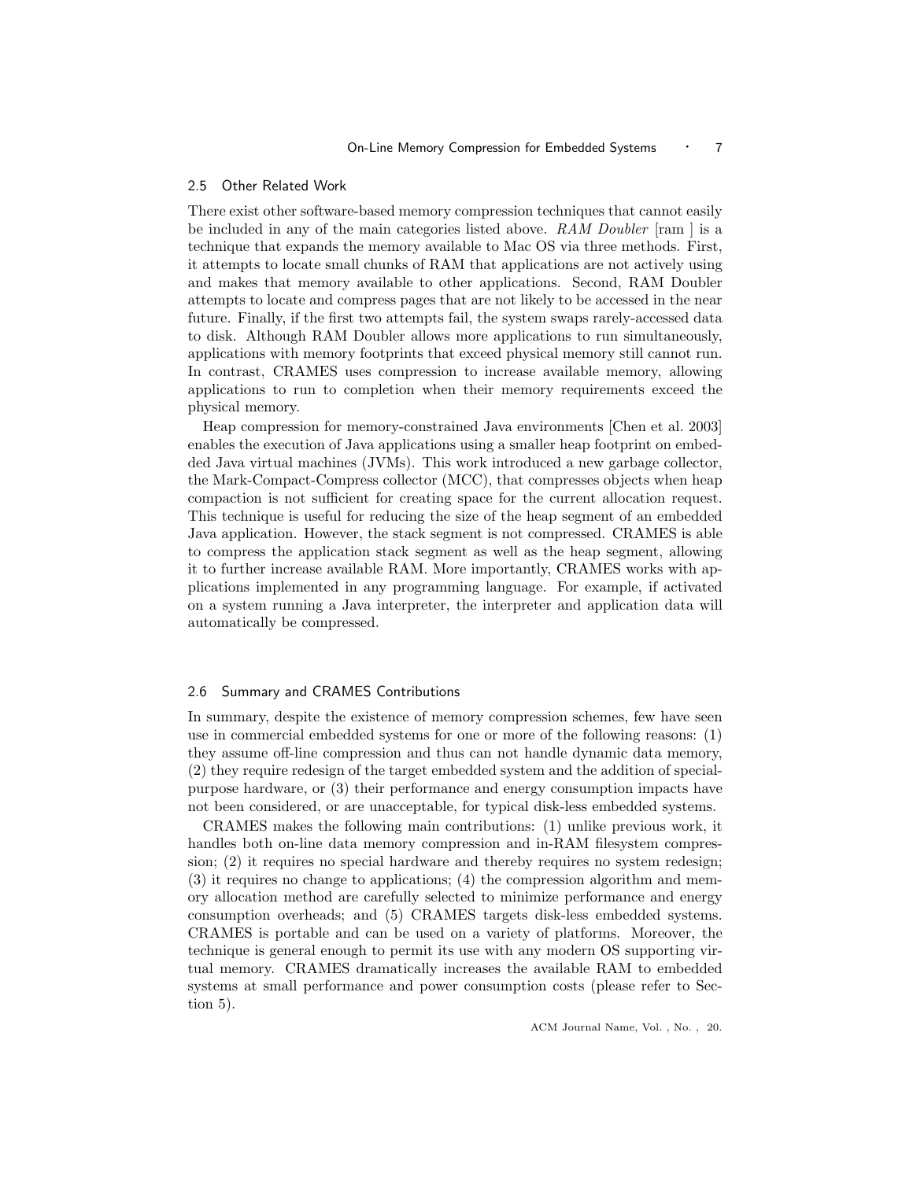#### 2.5 Other Related Work

There exist other software-based memory compression techniques that cannot easily be included in any of the main categories listed above. RAM Doubler  $\lceil \text{ram} \rceil$  is a technique that expands the memory available to Mac OS via three methods. First, it attempts to locate small chunks of RAM that applications are not actively using and makes that memory available to other applications. Second, RAM Doubler attempts to locate and compress pages that are not likely to be accessed in the near future. Finally, if the first two attempts fail, the system swaps rarely-accessed data to disk. Although RAM Doubler allows more applications to run simultaneously, applications with memory footprints that exceed physical memory still cannot run. In contrast, CRAMES uses compression to increase available memory, allowing applications to run to completion when their memory requirements exceed the physical memory.

Heap compression for memory-constrained Java environments [Chen et al. 2003] enables the execution of Java applications using a smaller heap footprint on embedded Java virtual machines (JVMs). This work introduced a new garbage collector, the Mark-Compact-Compress collector (MCC), that compresses objects when heap compaction is not sufficient for creating space for the current allocation request. This technique is useful for reducing the size of the heap segment of an embedded Java application. However, the stack segment is not compressed. CRAMES is able to compress the application stack segment as well as the heap segment, allowing it to further increase available RAM. More importantly, CRAMES works with applications implemented in any programming language. For example, if activated on a system running a Java interpreter, the interpreter and application data will automatically be compressed.

## 2.6 Summary and CRAMES Contributions

In summary, despite the existence of memory compression schemes, few have seen use in commercial embedded systems for one or more of the following reasons: (1) they assume off-line compression and thus can not handle dynamic data memory, (2) they require redesign of the target embedded system and the addition of specialpurpose hardware, or (3) their performance and energy consumption impacts have not been considered, or are unacceptable, for typical disk-less embedded systems.

CRAMES makes the following main contributions: (1) unlike previous work, it handles both on-line data memory compression and in-RAM filesystem compression; (2) it requires no special hardware and thereby requires no system redesign; (3) it requires no change to applications; (4) the compression algorithm and memory allocation method are carefully selected to minimize performance and energy consumption overheads; and (5) CRAMES targets disk-less embedded systems. CRAMES is portable and can be used on a variety of platforms. Moreover, the technique is general enough to permit its use with any modern OS supporting virtual memory. CRAMES dramatically increases the available RAM to embedded systems at small performance and power consumption costs (please refer to Section 5).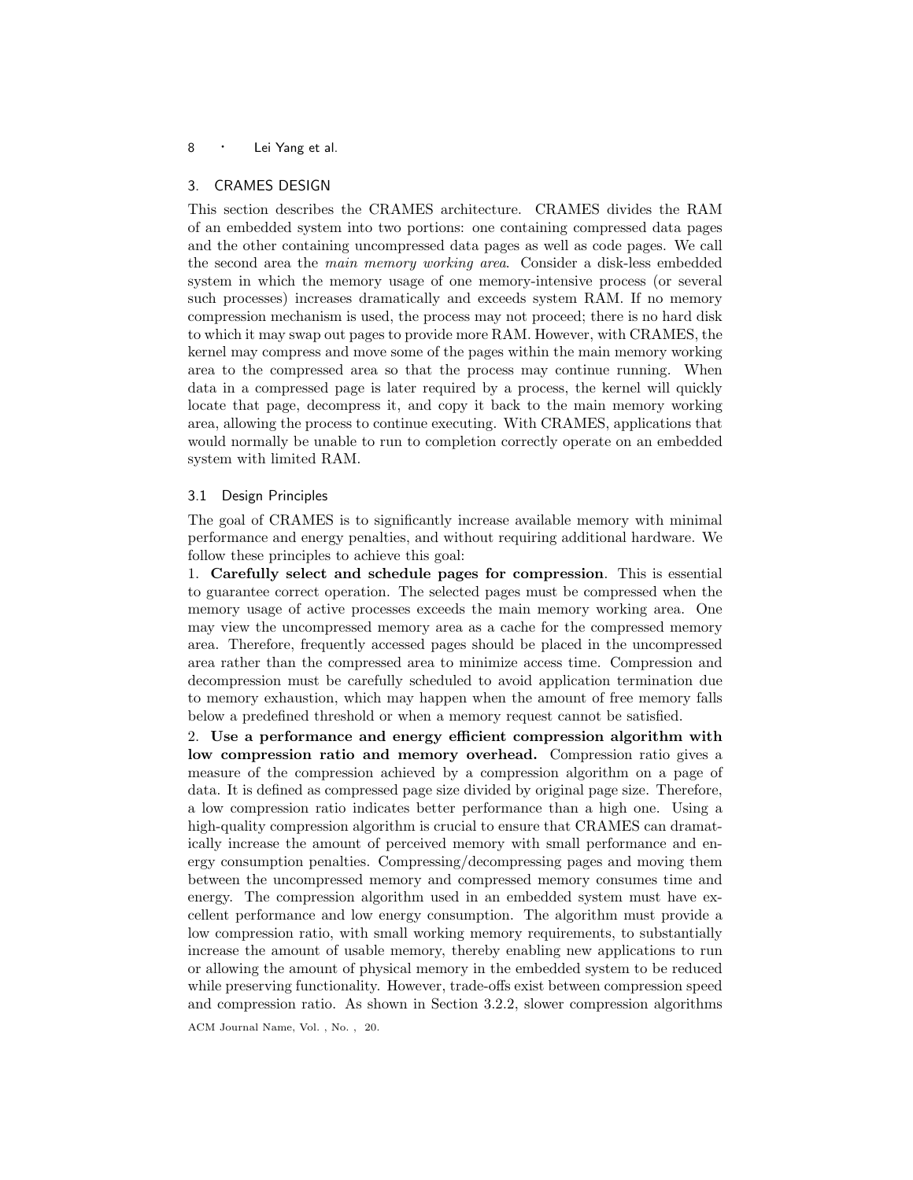## 3. CRAMES DESIGN

This section describes the CRAMES architecture. CRAMES divides the RAM of an embedded system into two portions: one containing compressed data pages and the other containing uncompressed data pages as well as code pages. We call the second area the main memory working area. Consider a disk-less embedded system in which the memory usage of one memory-intensive process (or several such processes) increases dramatically and exceeds system RAM. If no memory compression mechanism is used, the process may not proceed; there is no hard disk to which it may swap out pages to provide more RAM. However, with CRAMES, the kernel may compress and move some of the pages within the main memory working area to the compressed area so that the process may continue running. When data in a compressed page is later required by a process, the kernel will quickly locate that page, decompress it, and copy it back to the main memory working area, allowing the process to continue executing. With CRAMES, applications that would normally be unable to run to completion correctly operate on an embedded system with limited RAM.

## 3.1 Design Principles

The goal of CRAMES is to significantly increase available memory with minimal performance and energy penalties, and without requiring additional hardware. We follow these principles to achieve this goal:

1. Carefully select and schedule pages for compression. This is essential to guarantee correct operation. The selected pages must be compressed when the memory usage of active processes exceeds the main memory working area. One may view the uncompressed memory area as a cache for the compressed memory area. Therefore, frequently accessed pages should be placed in the uncompressed area rather than the compressed area to minimize access time. Compression and decompression must be carefully scheduled to avoid application termination due to memory exhaustion, which may happen when the amount of free memory falls below a predefined threshold or when a memory request cannot be satisfied.

2. Use a performance and energy efficient compression algorithm with low compression ratio and memory overhead. Compression ratio gives a measure of the compression achieved by a compression algorithm on a page of data. It is defined as compressed page size divided by original page size. Therefore, a low compression ratio indicates better performance than a high one. Using a high-quality compression algorithm is crucial to ensure that CRAMES can dramatically increase the amount of perceived memory with small performance and energy consumption penalties. Compressing/decompressing pages and moving them between the uncompressed memory and compressed memory consumes time and energy. The compression algorithm used in an embedded system must have excellent performance and low energy consumption. The algorithm must provide a low compression ratio, with small working memory requirements, to substantially increase the amount of usable memory, thereby enabling new applications to run or allowing the amount of physical memory in the embedded system to be reduced while preserving functionality. However, trade-offs exist between compression speed and compression ratio. As shown in Section 3.2.2, slower compression algorithms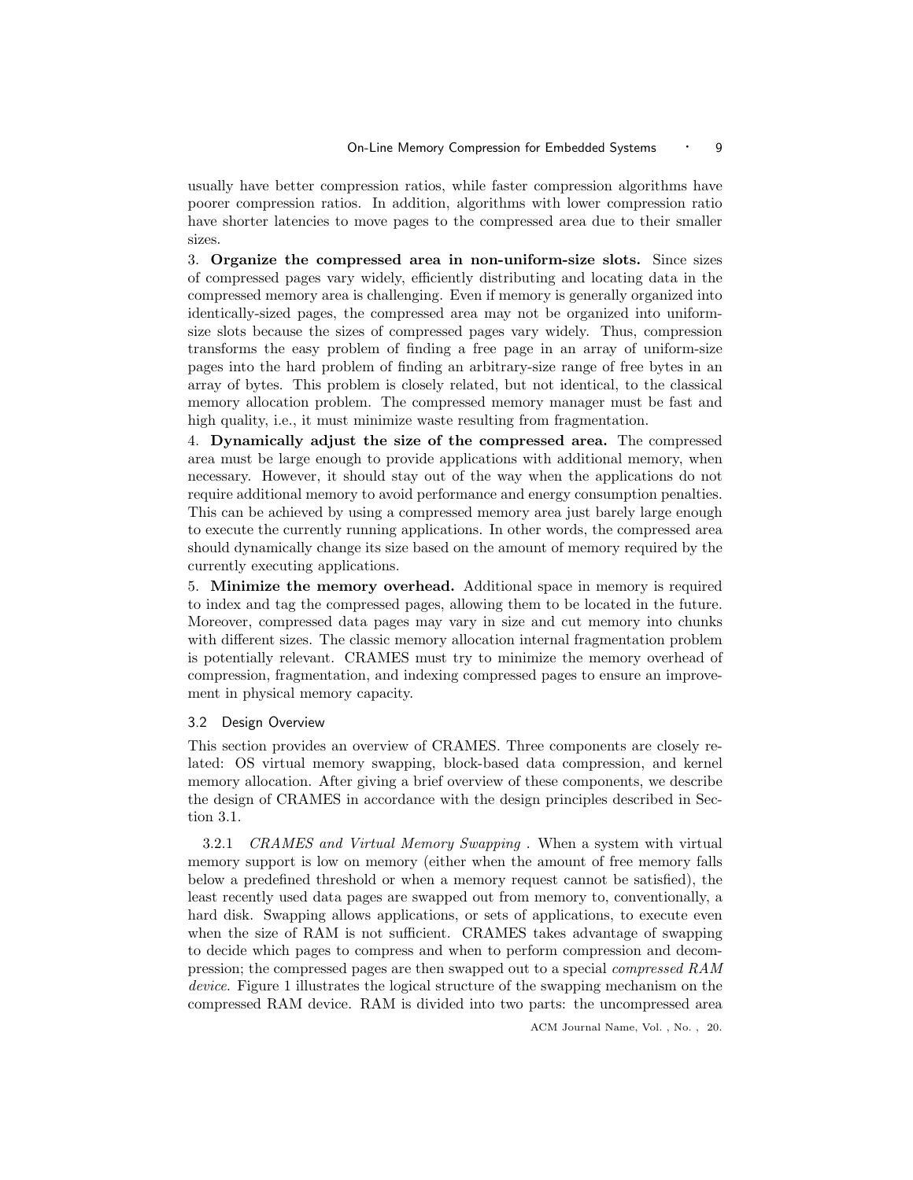usually have better compression ratios, while faster compression algorithms have poorer compression ratios. In addition, algorithms with lower compression ratio have shorter latencies to move pages to the compressed area due to their smaller sizes.

3. Organize the compressed area in non-uniform-size slots. Since sizes of compressed pages vary widely, efficiently distributing and locating data in the compressed memory area is challenging. Even if memory is generally organized into identically-sized pages, the compressed area may not be organized into uniformsize slots because the sizes of compressed pages vary widely. Thus, compression transforms the easy problem of finding a free page in an array of uniform-size pages into the hard problem of finding an arbitrary-size range of free bytes in an array of bytes. This problem is closely related, but not identical, to the classical memory allocation problem. The compressed memory manager must be fast and high quality, i.e., it must minimize waste resulting from fragmentation.

4. Dynamically adjust the size of the compressed area. The compressed area must be large enough to provide applications with additional memory, when necessary. However, it should stay out of the way when the applications do not require additional memory to avoid performance and energy consumption penalties. This can be achieved by using a compressed memory area just barely large enough to execute the currently running applications. In other words, the compressed area should dynamically change its size based on the amount of memory required by the currently executing applications.

5. Minimize the memory overhead. Additional space in memory is required to index and tag the compressed pages, allowing them to be located in the future. Moreover, compressed data pages may vary in size and cut memory into chunks with different sizes. The classic memory allocation internal fragmentation problem is potentially relevant. CRAMES must try to minimize the memory overhead of compression, fragmentation, and indexing compressed pages to ensure an improvement in physical memory capacity.

#### 3.2 Design Overview

This section provides an overview of CRAMES. Three components are closely related: OS virtual memory swapping, block-based data compression, and kernel memory allocation. After giving a brief overview of these components, we describe the design of CRAMES in accordance with the design principles described in Section 3.1.

3.2.1 CRAMES and Virtual Memory Swapping . When a system with virtual memory support is low on memory (either when the amount of free memory falls below a predefined threshold or when a memory request cannot be satisfied), the least recently used data pages are swapped out from memory to, conventionally, a hard disk. Swapping allows applications, or sets of applications, to execute even when the size of RAM is not sufficient. CRAMES takes advantage of swapping to decide which pages to compress and when to perform compression and decompression; the compressed pages are then swapped out to a special compressed RAM device. Figure 1 illustrates the logical structure of the swapping mechanism on the compressed RAM device. RAM is divided into two parts: the uncompressed area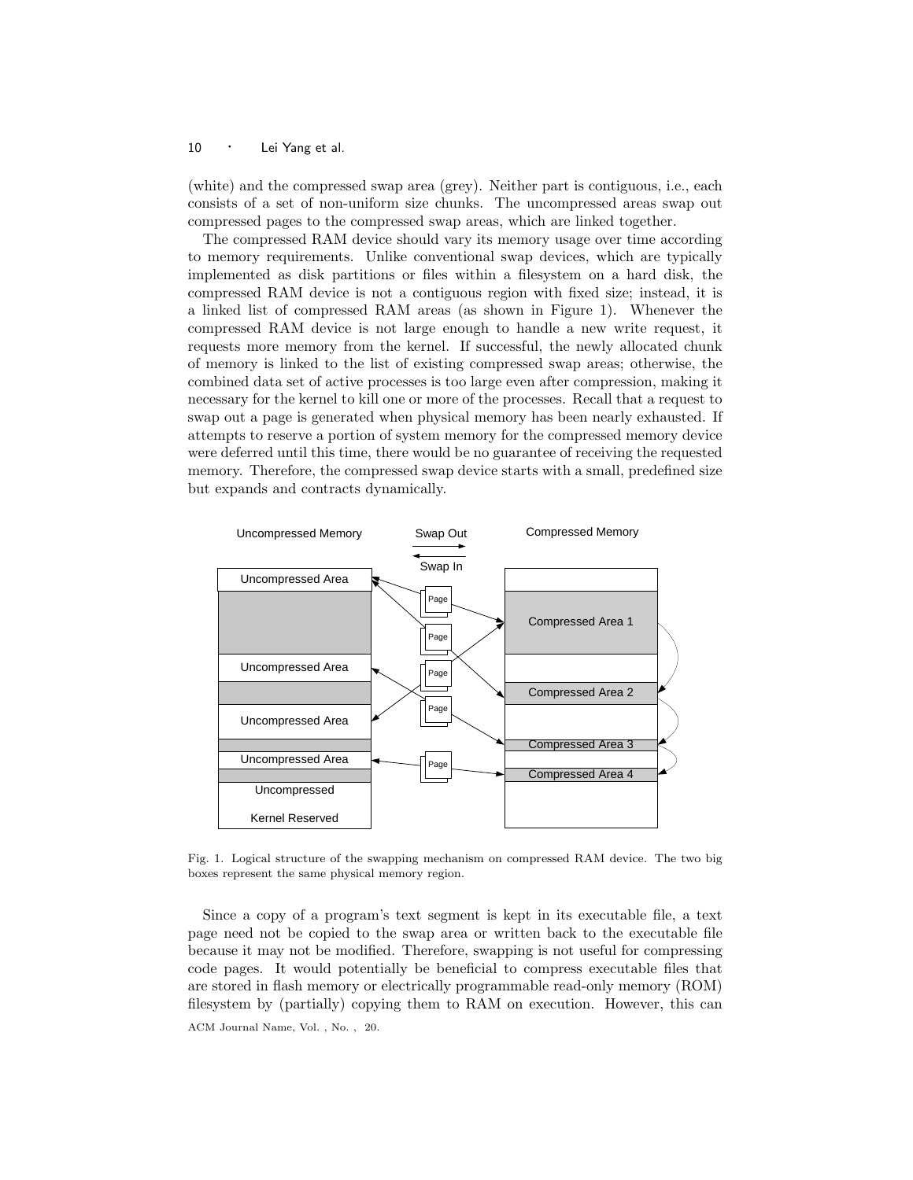(white) and the compressed swap area (grey). Neither part is contiguous, i.e., each consists of a set of non-uniform size chunks. The uncompressed areas swap out compressed pages to the compressed swap areas, which are linked together.

The compressed RAM device should vary its memory usage over time according to memory requirements. Unlike conventional swap devices, which are typically implemented as disk partitions or files within a filesystem on a hard disk, the compressed RAM device is not a contiguous region with fixed size; instead, it is a linked list of compressed RAM areas (as shown in Figure 1). Whenever the compressed RAM device is not large enough to handle a new write request, it requests more memory from the kernel. If successful, the newly allocated chunk of memory is linked to the list of existing compressed swap areas; otherwise, the combined data set of active processes is too large even after compression, making it necessary for the kernel to kill one or more of the processes. Recall that a request to swap out a page is generated when physical memory has been nearly exhausted. If attempts to reserve a portion of system memory for the compressed memory device were deferred until this time, there would be no guarantee of receiving the requested memory. Therefore, the compressed swap device starts with a small, predefined size but expands and contracts dynamically.



Fig. 1. Logical structure of the swapping mechanism on compressed RAM device. The two big boxes represent the same physical memory region.

Since a copy of a program's text segment is kept in its executable file, a text page need not be copied to the swap area or written back to the executable file because it may not be modified. Therefore, swapping is not useful for compressing code pages. It would potentially be beneficial to compress executable files that are stored in flash memory or electrically programmable read-only memory (ROM) filesystem by (partially) copying them to RAM on execution. However, this can ACM Journal Name, Vol. , No. , 20.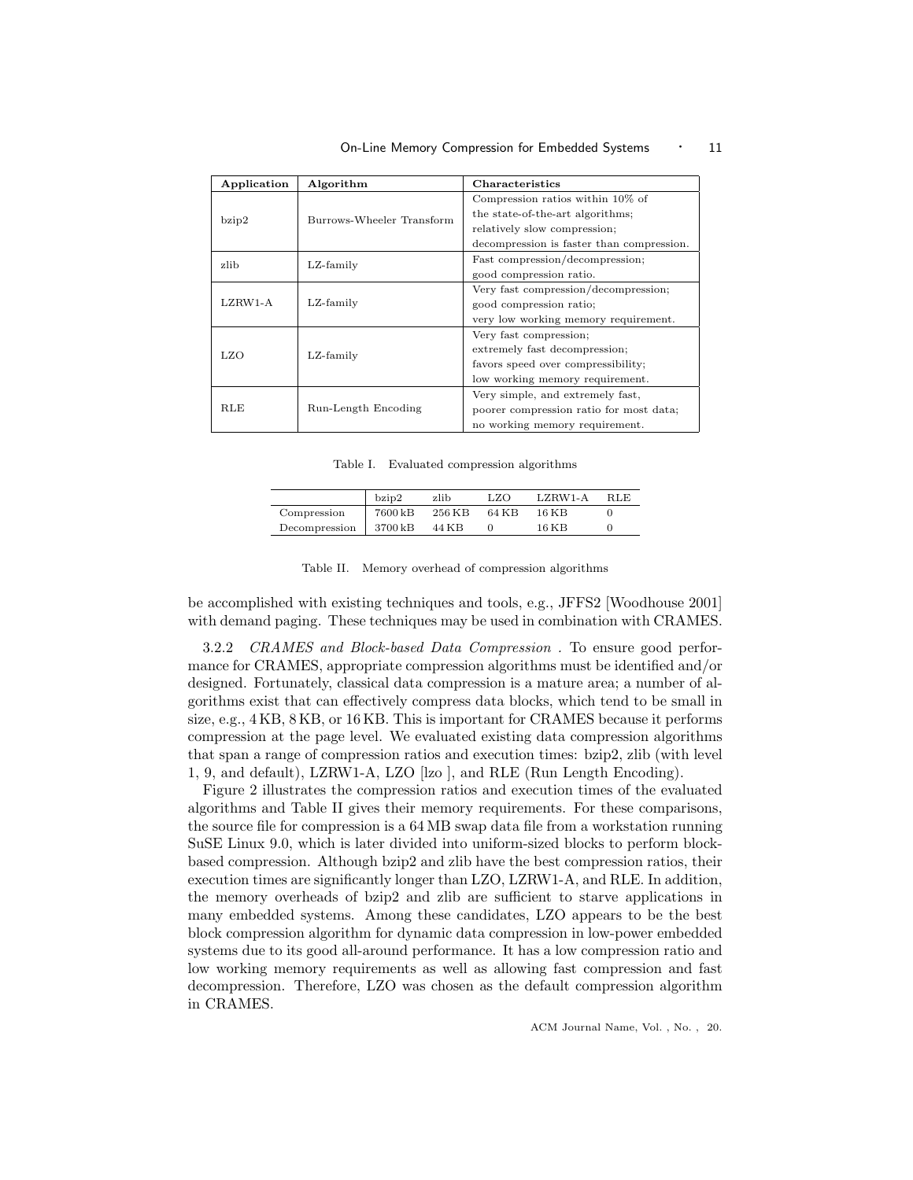| Application | Algorithm                 | Characteristics                           |  |  |  |  |
|-------------|---------------------------|-------------------------------------------|--|--|--|--|
|             |                           | Compression ratios within 10\% of         |  |  |  |  |
| bzip2       | Burrows-Wheeler Transform | the state-of-the-art algorithms;          |  |  |  |  |
|             |                           | relatively slow compression;              |  |  |  |  |
|             |                           | decompression is faster than compression. |  |  |  |  |
| zlib        | $LZ$ -family              | Fast compression/decompression;           |  |  |  |  |
|             |                           | good compression ratio.                   |  |  |  |  |
| LZRW1-A     |                           | Very fast compression/decompression;      |  |  |  |  |
|             | $LZ$ -family              | good compression ratio;                   |  |  |  |  |
|             |                           | very low working memory requirement.      |  |  |  |  |
|             |                           | Very fast compression;                    |  |  |  |  |
| LZO.        | $LZ$ -family              | extremely fast decompression;             |  |  |  |  |
|             |                           | favors speed over compressibility;        |  |  |  |  |
|             |                           | low working memory requirement.           |  |  |  |  |
| <b>RLE</b>  |                           | Very simple, and extremely fast,          |  |  |  |  |
|             | Run-Length Encoding       | poorer compression ratio for most data;   |  |  |  |  |
|             |                           | no working memory requirement.            |  |  |  |  |

Table I. Evaluated compression algorithms

|               | bzi <sub>D</sub> 2 | zlib   | LZO   | LZRW1-A | RLE |
|---------------|--------------------|--------|-------|---------|-----|
| Compression   | 7600 kB            | 256 KB | 64 KB | 16 K B  |     |
| Decompression | 3700 kB            | 44 KB  |       | 16 K B  |     |

Table II. Memory overhead of compression algorithms

be accomplished with existing techniques and tools, e.g., JFFS2 [Woodhouse 2001] with demand paging. These techniques may be used in combination with CRAMES.

3.2.2 CRAMES and Block-based Data Compression . To ensure good performance for CRAMES, appropriate compression algorithms must be identified and/or designed. Fortunately, classical data compression is a mature area; a number of algorithms exist that can effectively compress data blocks, which tend to be small in size, e.g., 4 KB, 8 KB, or 16 KB. This is important for CRAMES because it performs compression at the page level. We evaluated existing data compression algorithms that span a range of compression ratios and execution times: bzip2, zlib (with level 1, 9, and default), LZRW1-A, LZO [lzo ], and RLE (Run Length Encoding).

Figure 2 illustrates the compression ratios and execution times of the evaluated algorithms and Table II gives their memory requirements. For these comparisons, the source file for compression is a 64 MB swap data file from a workstation running SuSE Linux 9.0, which is later divided into uniform-sized blocks to perform blockbased compression. Although bzip2 and zlib have the best compression ratios, their execution times are significantly longer than LZO, LZRW1-A, and RLE. In addition, the memory overheads of bzip2 and zlib are sufficient to starve applications in many embedded systems. Among these candidates, LZO appears to be the best block compression algorithm for dynamic data compression in low-power embedded systems due to its good all-around performance. It has a low compression ratio and low working memory requirements as well as allowing fast compression and fast decompression. Therefore, LZO was chosen as the default compression algorithm in CRAMES.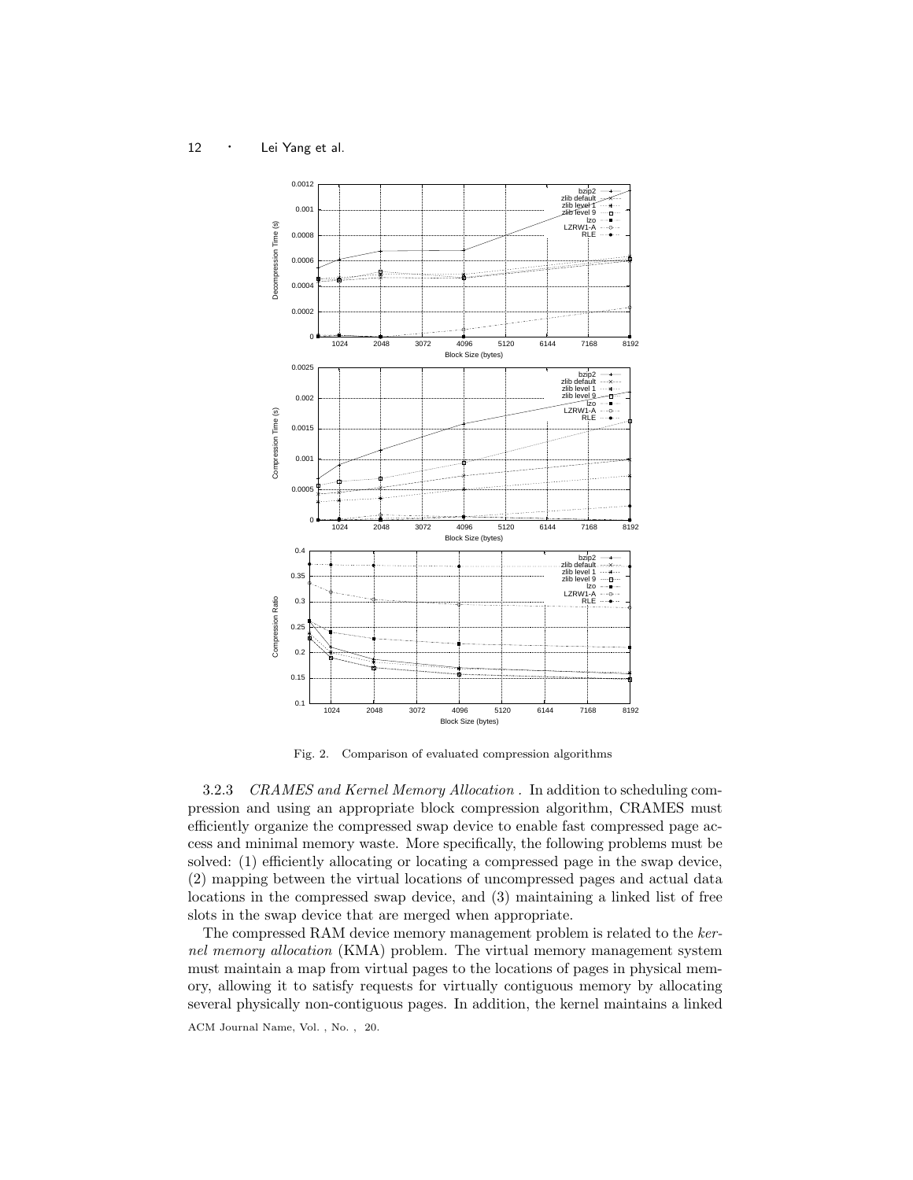

Fig. 2. Comparison of evaluated compression algorithms

3.2.3 CRAMES and Kernel Memory Allocation . In addition to scheduling compression and using an appropriate block compression algorithm, CRAMES must efficiently organize the compressed swap device to enable fast compressed page access and minimal memory waste. More specifically, the following problems must be solved: (1) efficiently allocating or locating a compressed page in the swap device, (2) mapping between the virtual locations of uncompressed pages and actual data locations in the compressed swap device, and (3) maintaining a linked list of free slots in the swap device that are merged when appropriate.

The compressed RAM device memory management problem is related to the kernel memory allocation (KMA) problem. The virtual memory management system must maintain a map from virtual pages to the locations of pages in physical memory, allowing it to satisfy requests for virtually contiguous memory by allocating several physically non-contiguous pages. In addition, the kernel maintains a linked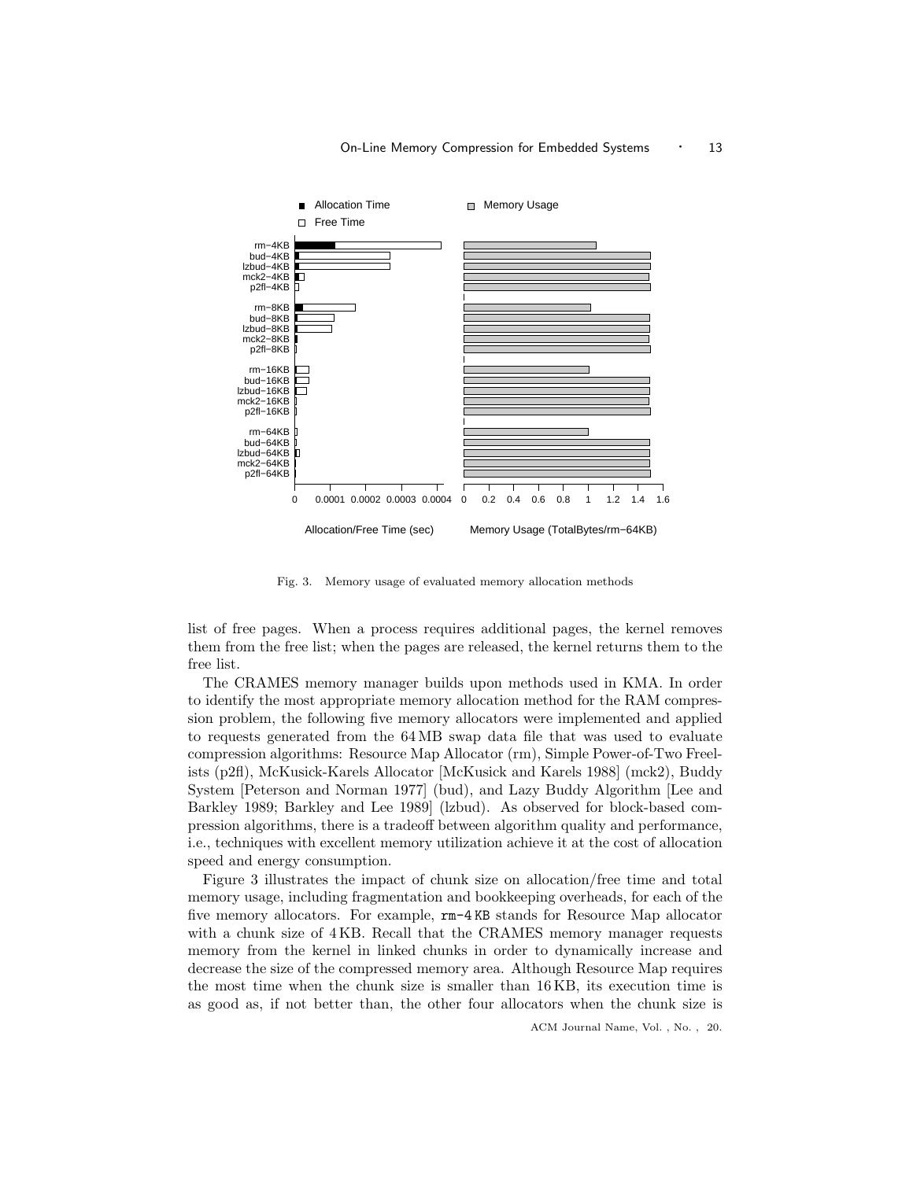

Fig. 3. Memory usage of evaluated memory allocation methods

list of free pages. When a process requires additional pages, the kernel removes them from the free list; when the pages are released, the kernel returns them to the free list.

The CRAMES memory manager builds upon methods used in KMA. In order to identify the most appropriate memory allocation method for the RAM compression problem, the following five memory allocators were implemented and applied to requests generated from the 64 MB swap data file that was used to evaluate compression algorithms: Resource Map Allocator (rm), Simple Power-of-Two Freelists (p2fl), McKusick-Karels Allocator [McKusick and Karels 1988] (mck2), Buddy System [Peterson and Norman 1977] (bud), and Lazy Buddy Algorithm [Lee and Barkley 1989; Barkley and Lee 1989] (lzbud). As observed for block-based compression algorithms, there is a tradeoff between algorithm quality and performance, i.e., techniques with excellent memory utilization achieve it at the cost of allocation speed and energy consumption.

Figure 3 illustrates the impact of chunk size on allocation/free time and total memory usage, including fragmentation and bookkeeping overheads, for each of the five memory allocators. For example, rm-4 KB stands for Resource Map allocator with a chunk size of 4 KB. Recall that the CRAMES memory manager requests memory from the kernel in linked chunks in order to dynamically increase and decrease the size of the compressed memory area. Although Resource Map requires the most time when the chunk size is smaller than 16 KB, its execution time is as good as, if not better than, the other four allocators when the chunk size is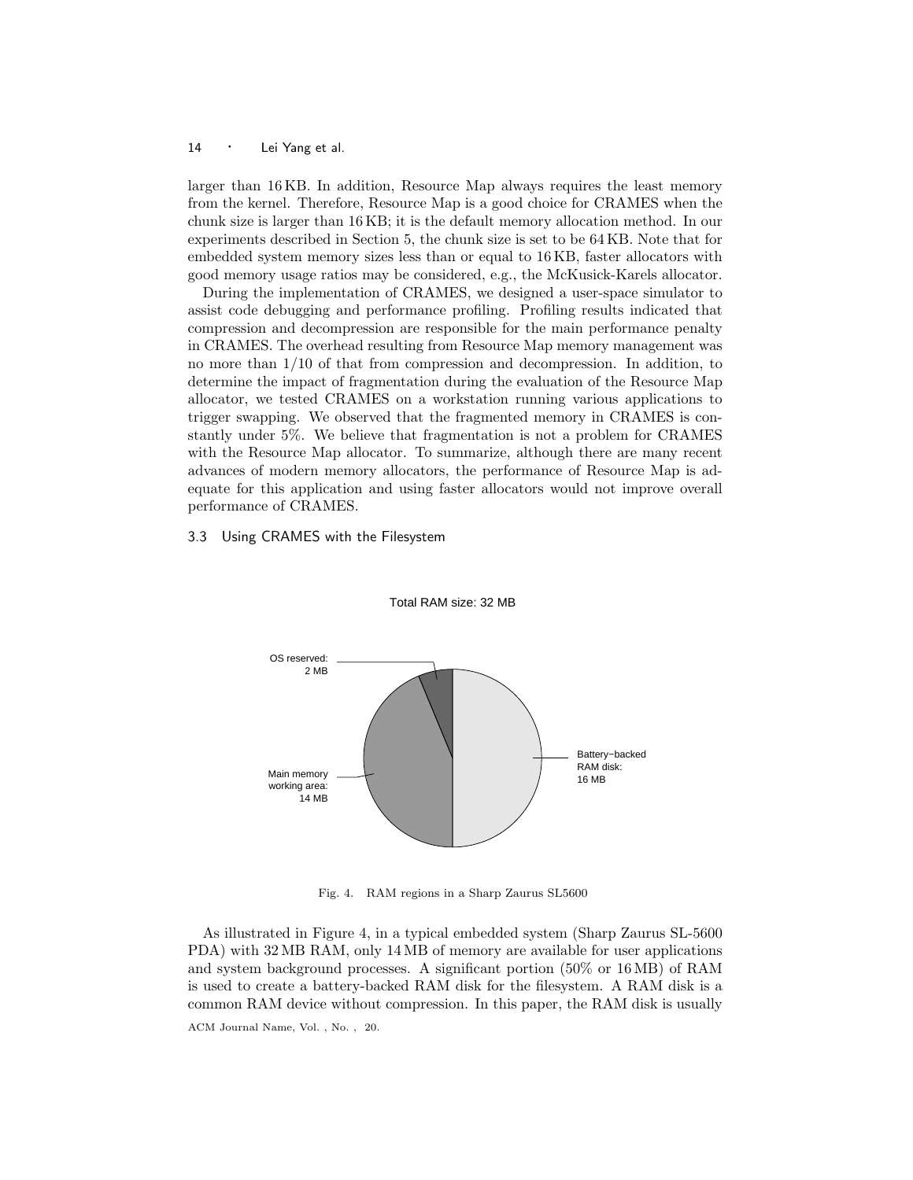larger than 16 KB. In addition, Resource Map always requires the least memory from the kernel. Therefore, Resource Map is a good choice for CRAMES when the chunk size is larger than 16 KB; it is the default memory allocation method. In our experiments described in Section 5, the chunk size is set to be 64 KB. Note that for embedded system memory sizes less than or equal to 16 KB, faster allocators with good memory usage ratios may be considered, e.g., the McKusick-Karels allocator.

During the implementation of CRAMES, we designed a user-space simulator to assist code debugging and performance profiling. Profiling results indicated that compression and decompression are responsible for the main performance penalty in CRAMES. The overhead resulting from Resource Map memory management was no more than 1/10 of that from compression and decompression. In addition, to determine the impact of fragmentation during the evaluation of the Resource Map allocator, we tested CRAMES on a workstation running various applications to trigger swapping. We observed that the fragmented memory in CRAMES is constantly under 5%. We believe that fragmentation is not a problem for CRAMES with the Resource Map allocator. To summarize, although there are many recent advances of modern memory allocators, the performance of Resource Map is adequate for this application and using faster allocators would not improve overall performance of CRAMES.

#### 3.3 Using CRAMES with the Filesystem



#### Total RAM size: 32 MB

Fig. 4. RAM regions in a Sharp Zaurus SL5600

As illustrated in Figure 4, in a typical embedded system (Sharp Zaurus SL-5600 PDA) with 32 MB RAM, only 14 MB of memory are available for user applications and system background processes. A significant portion (50% or 16 MB) of RAM is used to create a battery-backed RAM disk for the filesystem. A RAM disk is a common RAM device without compression. In this paper, the RAM disk is usually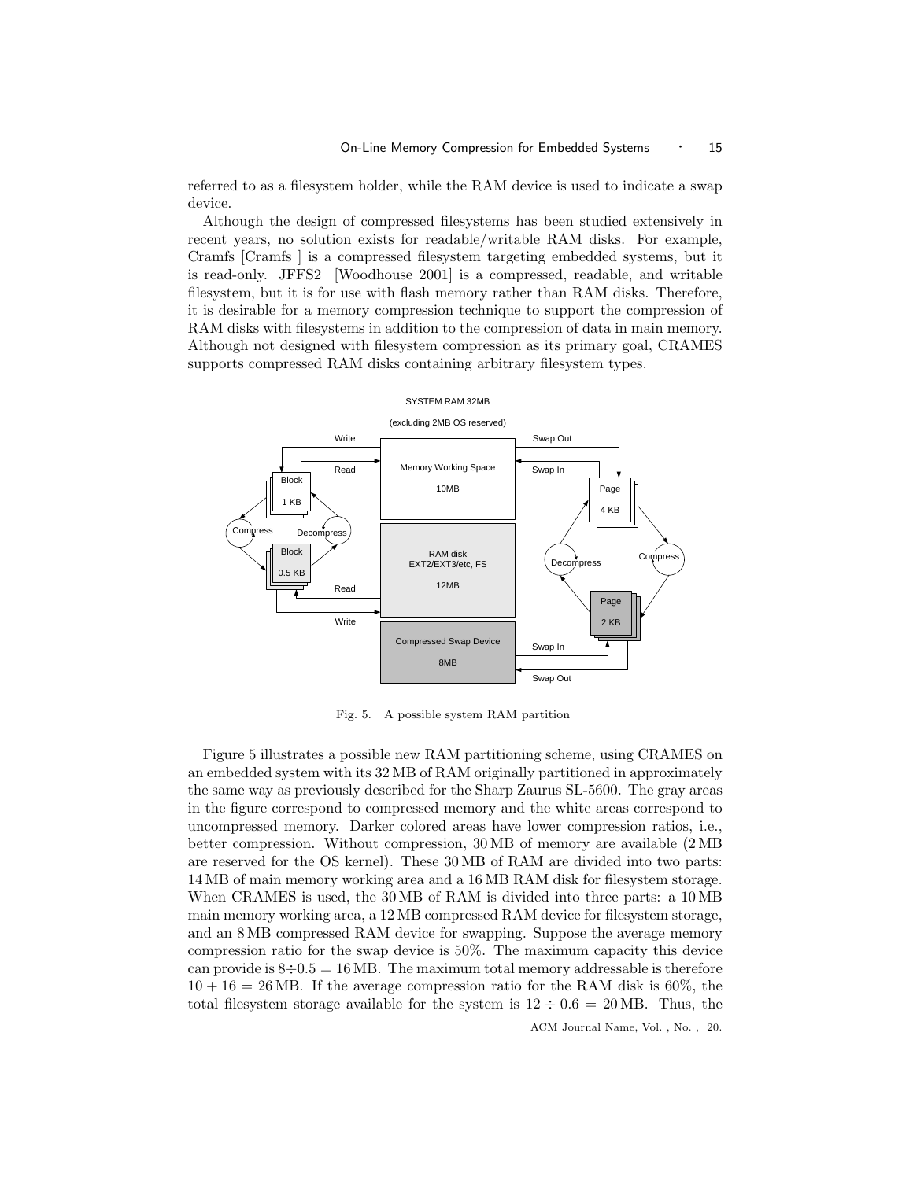referred to as a filesystem holder, while the RAM device is used to indicate a swap device.

Although the design of compressed filesystems has been studied extensively in recent years, no solution exists for readable/writable RAM disks. For example, Cramfs [Cramfs ] is a compressed filesystem targeting embedded systems, but it is read-only. JFFS2 [Woodhouse 2001] is a compressed, readable, and writable filesystem, but it is for use with flash memory rather than RAM disks. Therefore, it is desirable for a memory compression technique to support the compression of RAM disks with filesystems in addition to the compression of data in main memory. Although not designed with filesystem compression as its primary goal, CRAMES supports compressed RAM disks containing arbitrary filesystem types.



Fig. 5. A possible system RAM partition

Figure 5 illustrates a possible new RAM partitioning scheme, using CRAMES on an embedded system with its 32 MB of RAM originally partitioned in approximately the same way as previously described for the Sharp Zaurus SL-5600. The gray areas in the figure correspond to compressed memory and the white areas correspond to uncompressed memory. Darker colored areas have lower compression ratios, i.e., better compression. Without compression, 30 MB of memory are available (2 MB are reserved for the OS kernel). These 30 MB of RAM are divided into two parts: 14 MB of main memory working area and a 16 MB RAM disk for filesystem storage. When CRAMES is used, the 30 MB of RAM is divided into three parts: a 10 MB main memory working area, a 12 MB compressed RAM device for filesystem storage, and an 8 MB compressed RAM device for swapping. Suppose the average memory compression ratio for the swap device is 50%. The maximum capacity this device can provide is  $8 \div 0.5 = 16 \text{ MB}$ . The maximum total memory addressable is therefore  $10 + 16 = 26 \text{ MB}$ . If the average compression ratio for the RAM disk is 60%, the total filesystem storage available for the system is  $12 \div 0.6 = 20 \text{ MB}$ . Thus, the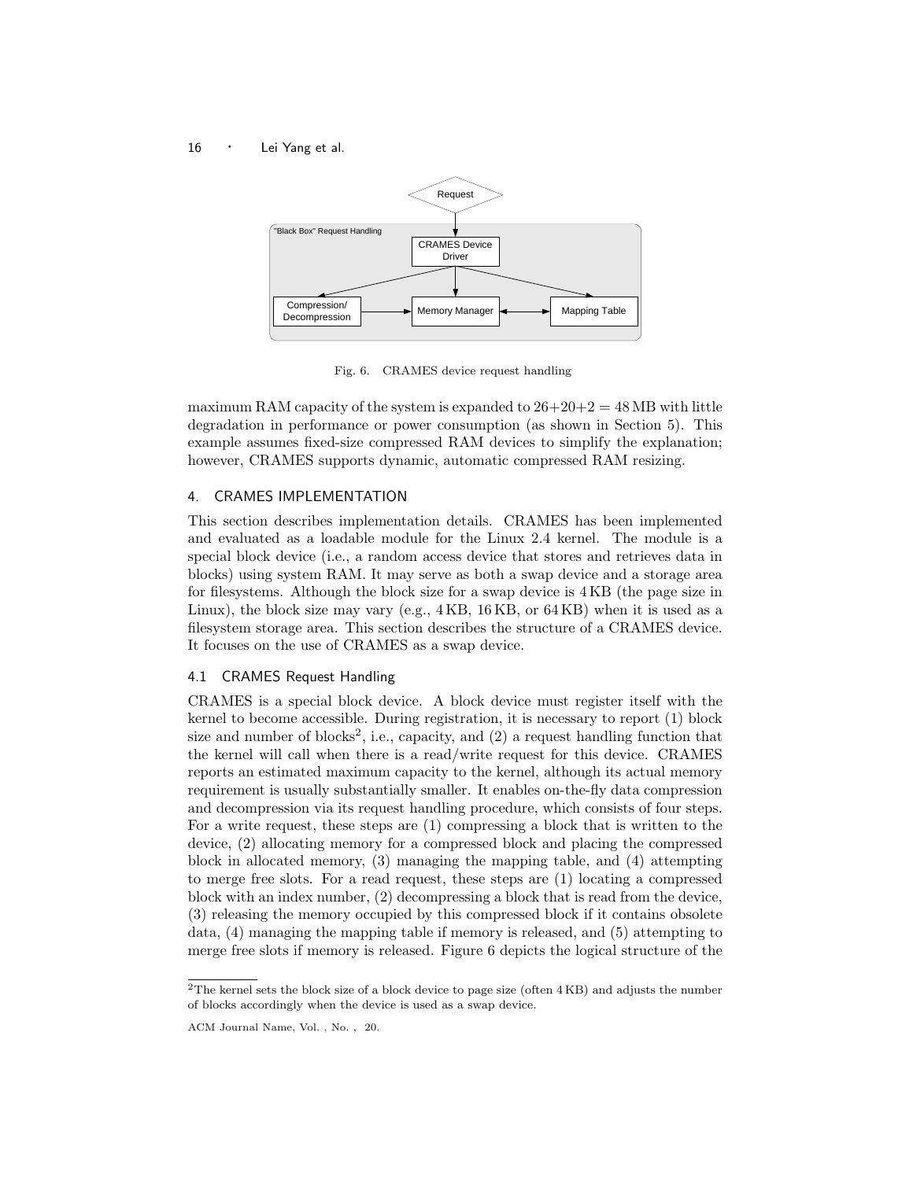

Fig. 6. CRAMES device request handling

maximum RAM capacity of the system is expanded to  $26+20+2=48$  MB with little degradation in performance or power consumption (as shown in Section 5). This example assumes fixed-size compressed RAM devices to simplify the explanation; however, CRAMES supports dynamic, automatic compressed RAM resizing.

# 4. CRAMES IMPLEMENTATION

This section describes implementation details. CRAMES has been implemented and evaluated as a loadable module for the Linux 2.4 kernel. The module is a special block device (i.e., a random access device that stores and retrieves data in blocks) using system RAM. It may serve as both a swap device and a storage area for filesystems. Although the block size for a swap device is 4 KB (the page size in Linux), the block size may vary  $(e.g., 4KB, 16KB, or 64KB)$  when it is used as a filesystem storage area. This section describes the structure of a CRAMES device. It focuses on the use of CRAMES as a swap device.

## 4.1 CRAMES Request Handling

CRAMES is a special block device. A block device must register itself with the kernel to become accessible. During registration, it is necessary to report (1) block size and number of blocks<sup>2</sup>, i.e., capacity, and  $(2)$  a request handling function that the kernel will call when there is a read/write request for this device. CRAMES reports an estimated maximum capacity to the kernel, although its actual memory requirement is usually substantially smaller. It enables on-the-fly data compression and decompression via its request handling procedure, which consists of four steps. For a write request, these steps are (1) compressing a block that is written to the device, (2) allocating memory for a compressed block and placing the compressed block in allocated memory, (3) managing the mapping table, and (4) attempting to merge free slots. For a read request, these steps are (1) locating a compressed block with an index number, (2) decompressing a block that is read from the device, (3) releasing the memory occupied by this compressed block if it contains obsolete data, (4) managing the mapping table if memory is released, and (5) attempting to merge free slots if memory is released. Figure 6 depicts the logical structure of the

 $^2{\rm The}$  kernel sets the block size of a block device to page size (often  $4\,{\rm KB})$  and adjusts the number of blocks accordingly when the device is used as a swap device.

ACM Journal Name, Vol. , No. , 20.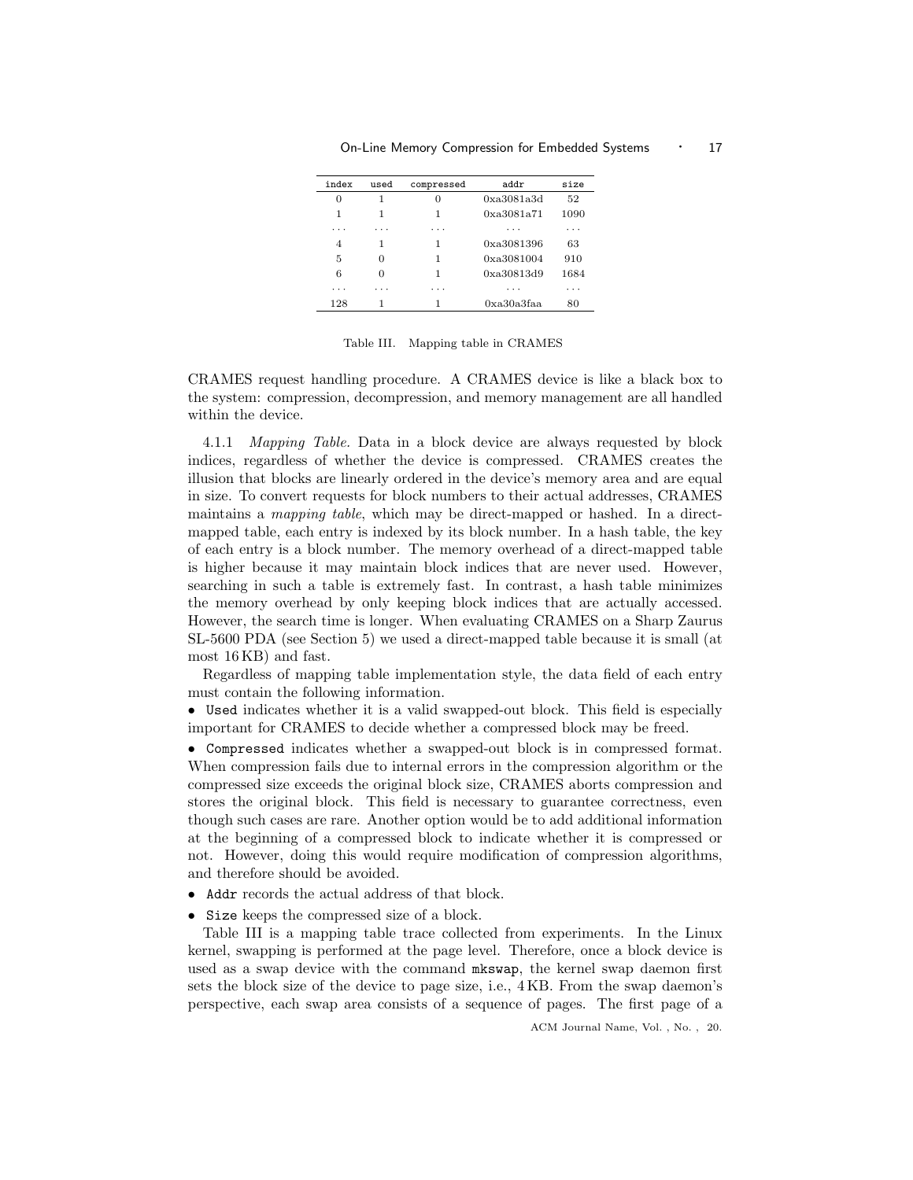| index          | used | compressed | addr       | size |
|----------------|------|------------|------------|------|
| 0              | 1    | 0          | 0xa3081a3d | 52   |
| 1              | 1    | 1          | 0xa3081a71 | 1090 |
|                |      |            | .          |      |
| $\overline{4}$ |      | 1          | 0xa3081396 | 63   |
| 5              | 0    | 1          | 0xa3081004 | 910  |
| 6              |      | 1          | 0xa30813d9 | 1684 |
|                |      |            |            | . .  |
| 128            |      | 1          | 0xa30a3faa | 80   |

Table III. Mapping table in CRAMES

CRAMES request handling procedure. A CRAMES device is like a black box to the system: compression, decompression, and memory management are all handled within the device.

4.1.1 Mapping Table. Data in a block device are always requested by block indices, regardless of whether the device is compressed. CRAMES creates the illusion that blocks are linearly ordered in the device's memory area and are equal in size. To convert requests for block numbers to their actual addresses, CRAMES maintains a *mapping table*, which may be direct-mapped or hashed. In a directmapped table, each entry is indexed by its block number. In a hash table, the key of each entry is a block number. The memory overhead of a direct-mapped table is higher because it may maintain block indices that are never used. However, searching in such a table is extremely fast. In contrast, a hash table minimizes the memory overhead by only keeping block indices that are actually accessed. However, the search time is longer. When evaluating CRAMES on a Sharp Zaurus SL-5600 PDA (see Section 5) we used a direct-mapped table because it is small (at most 16 KB) and fast.

Regardless of mapping table implementation style, the data field of each entry must contain the following information.

• Used indicates whether it is a valid swapped-out block. This field is especially important for CRAMES to decide whether a compressed block may be freed.

• Compressed indicates whether a swapped-out block is in compressed format. When compression fails due to internal errors in the compression algorithm or the compressed size exceeds the original block size, CRAMES aborts compression and stores the original block. This field is necessary to guarantee correctness, even though such cases are rare. Another option would be to add additional information at the beginning of a compressed block to indicate whether it is compressed or not. However, doing this would require modification of compression algorithms, and therefore should be avoided.

- Addr records the actual address of that block.
- Size keeps the compressed size of a block.

Table III is a mapping table trace collected from experiments. In the Linux kernel, swapping is performed at the page level. Therefore, once a block device is used as a swap device with the command mkswap, the kernel swap daemon first sets the block size of the device to page size, i.e., 4 KB. From the swap daemon's perspective, each swap area consists of a sequence of pages. The first page of a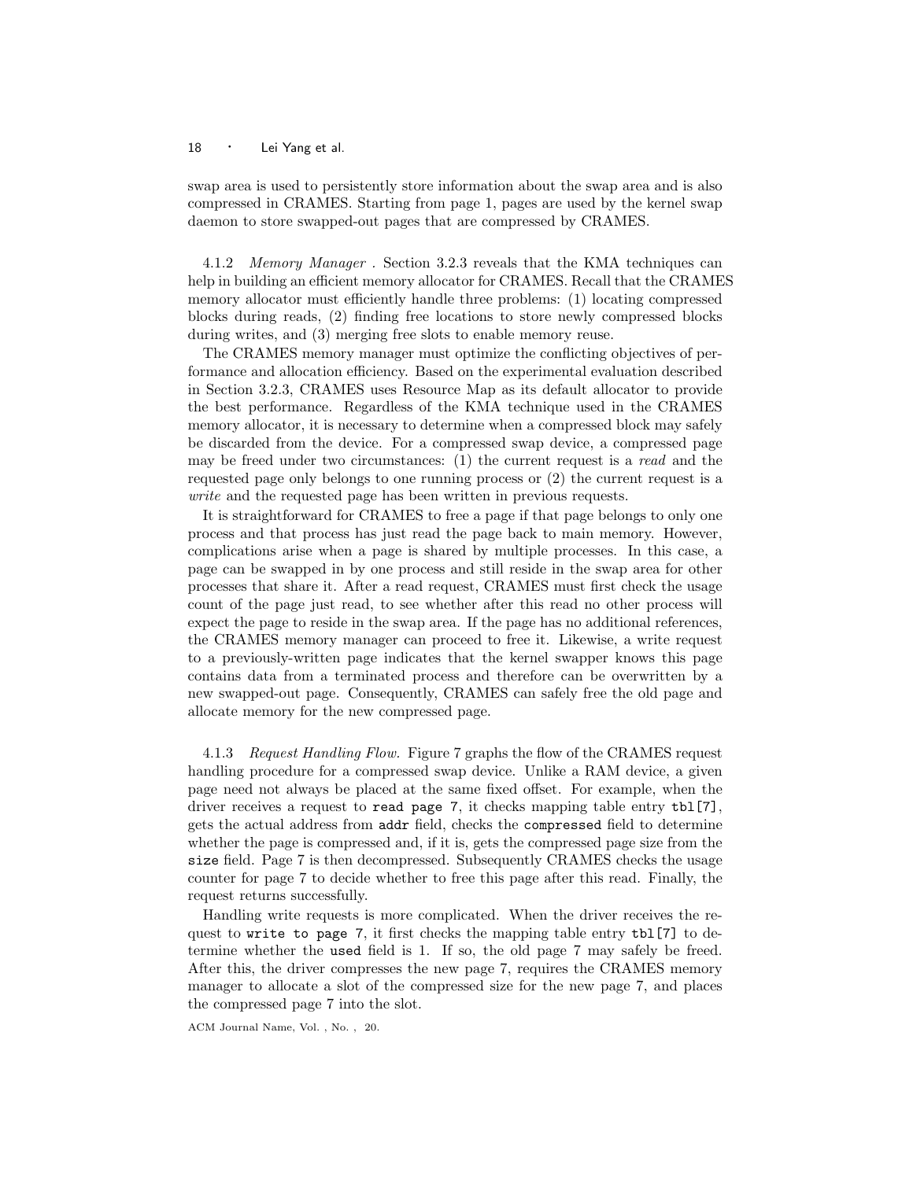swap area is used to persistently store information about the swap area and is also compressed in CRAMES. Starting from page 1, pages are used by the kernel swap daemon to store swapped-out pages that are compressed by CRAMES.

4.1.2 Memory Manager . Section 3.2.3 reveals that the KMA techniques can help in building an efficient memory allocator for CRAMES. Recall that the CRAMES memory allocator must efficiently handle three problems: (1) locating compressed blocks during reads, (2) finding free locations to store newly compressed blocks during writes, and (3) merging free slots to enable memory reuse.

The CRAMES memory manager must optimize the conflicting objectives of performance and allocation efficiency. Based on the experimental evaluation described in Section 3.2.3, CRAMES uses Resource Map as its default allocator to provide the best performance. Regardless of the KMA technique used in the CRAMES memory allocator, it is necessary to determine when a compressed block may safely be discarded from the device. For a compressed swap device, a compressed page may be freed under two circumstances: (1) the current request is a read and the requested page only belongs to one running process or (2) the current request is a write and the requested page has been written in previous requests.

It is straightforward for CRAMES to free a page if that page belongs to only one process and that process has just read the page back to main memory. However, complications arise when a page is shared by multiple processes. In this case, a page can be swapped in by one process and still reside in the swap area for other processes that share it. After a read request, CRAMES must first check the usage count of the page just read, to see whether after this read no other process will expect the page to reside in the swap area. If the page has no additional references, the CRAMES memory manager can proceed to free it. Likewise, a write request to a previously-written page indicates that the kernel swapper knows this page contains data from a terminated process and therefore can be overwritten by a new swapped-out page. Consequently, CRAMES can safely free the old page and allocate memory for the new compressed page.

4.1.3 Request Handling Flow. Figure 7 graphs the flow of the CRAMES request handling procedure for a compressed swap device. Unlike a RAM device, a given page need not always be placed at the same fixed offset. For example, when the driver receives a request to read page 7, it checks mapping table entry tbl[7], gets the actual address from addr field, checks the compressed field to determine whether the page is compressed and, if it is, gets the compressed page size from the size field. Page 7 is then decompressed. Subsequently CRAMES checks the usage counter for page 7 to decide whether to free this page after this read. Finally, the request returns successfully.

Handling write requests is more complicated. When the driver receives the request to write to page 7, it first checks the mapping table entry tbl[7] to determine whether the used field is 1. If so, the old page 7 may safely be freed. After this, the driver compresses the new page 7, requires the CRAMES memory manager to allocate a slot of the compressed size for the new page 7, and places the compressed page 7 into the slot.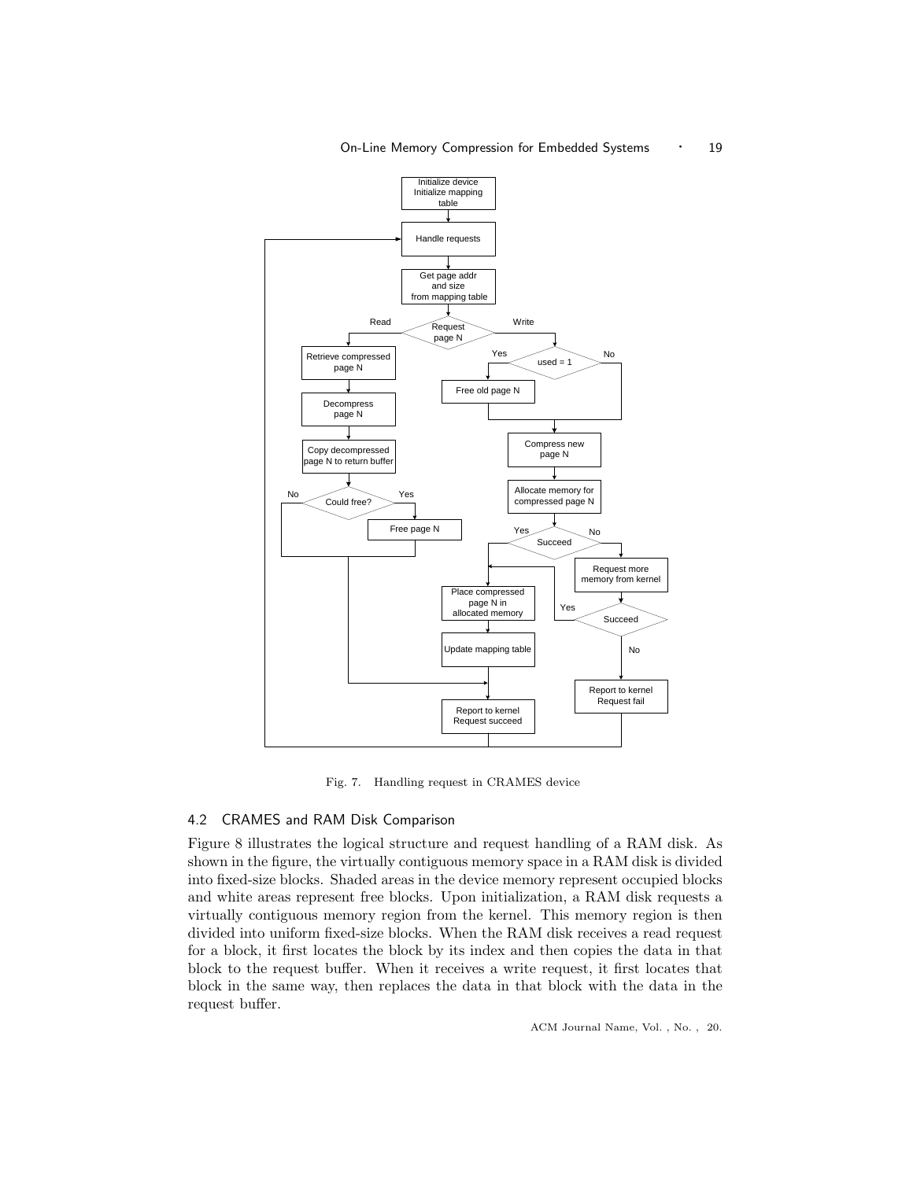

Fig. 7. Handling request in CRAMES device

# 4.2 CRAMES and RAM Disk Comparison

Figure 8 illustrates the logical structure and request handling of a RAM disk. As shown in the figure, the virtually contiguous memory space in a RAM disk is divided into fixed-size blocks. Shaded areas in the device memory represent occupied blocks and white areas represent free blocks. Upon initialization, a RAM disk requests a virtually contiguous memory region from the kernel. This memory region is then divided into uniform fixed-size blocks. When the RAM disk receives a read request for a block, it first locates the block by its index and then copies the data in that block to the request buffer. When it receives a write request, it first locates that block in the same way, then replaces the data in that block with the data in the request buffer.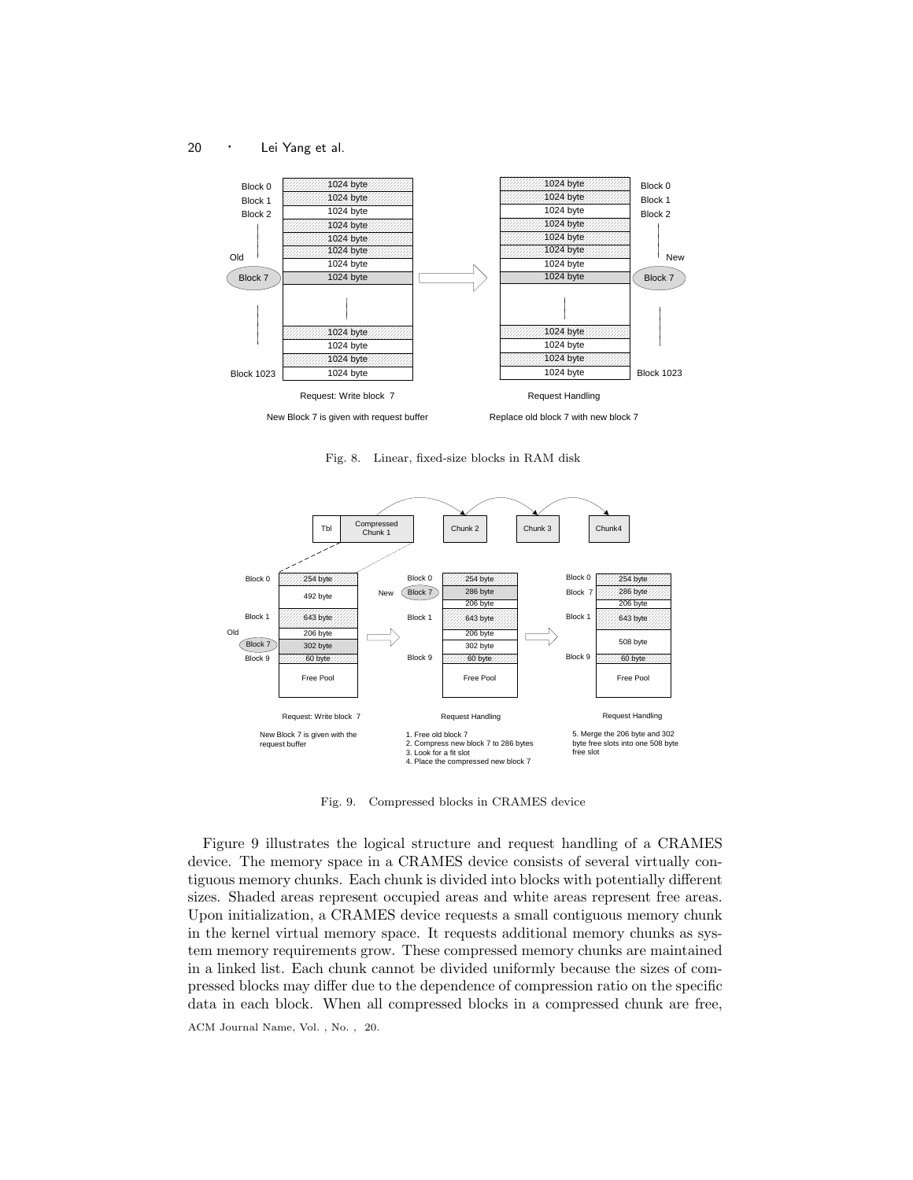

Fig. 8. Linear, fixed-size blocks in RAM disk



Fig. 9. Compressed blocks in CRAMES device

Figure 9 illustrates the logical structure and request handling of a CRAMES device. The memory space in a CRAMES device consists of several virtually contiguous memory chunks. Each chunk is divided into blocks with potentially different sizes. Shaded areas represent occupied areas and white areas represent free areas. Upon initialization, a CRAMES device requests a small contiguous memory chunk in the kernel virtual memory space. It requests additional memory chunks as system memory requirements grow. These compressed memory chunks are maintained in a linked list. Each chunk cannot be divided uniformly because the sizes of compressed blocks may differ due to the dependence of compression ratio on the specific data in each block. When all compressed blocks in a compressed chunk are free,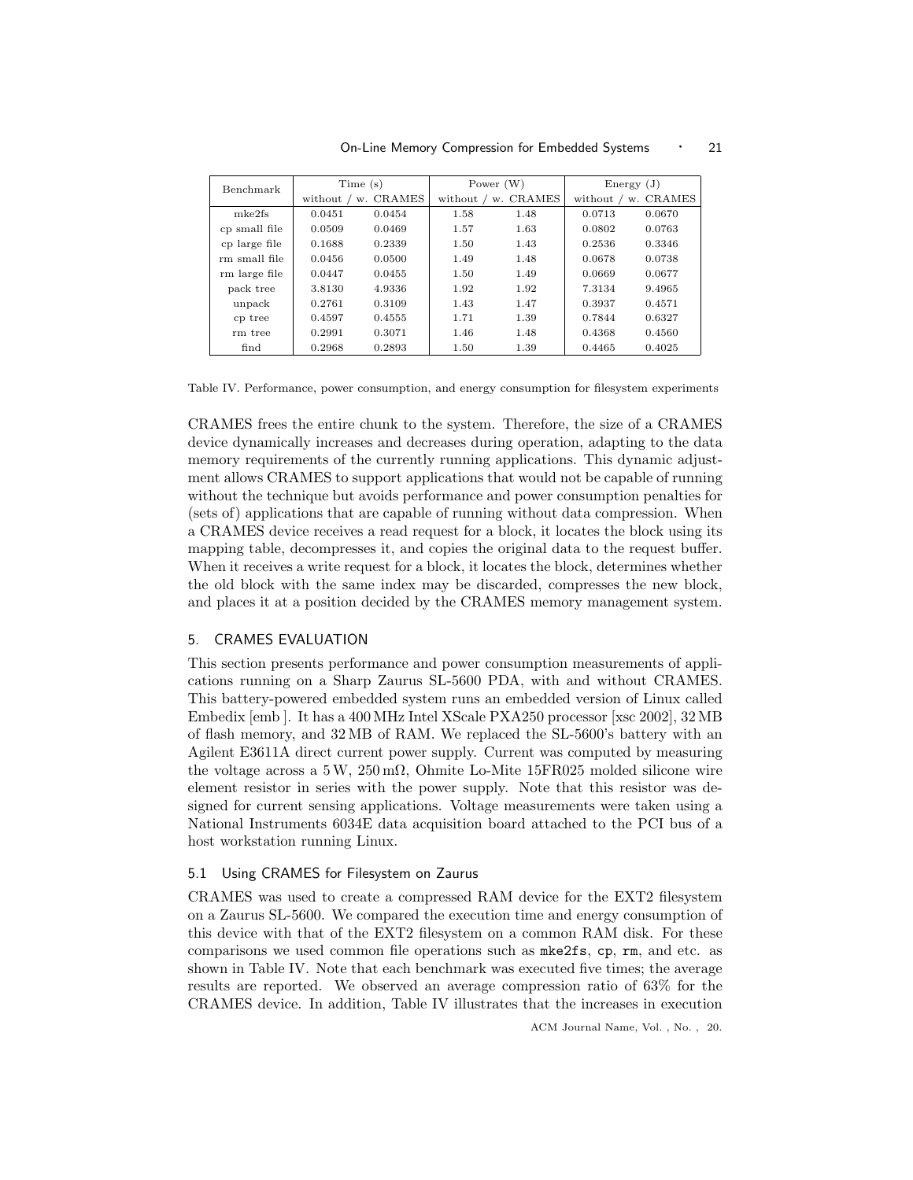| Benchmark     | Time (s) |           |           | Power $(W)$ | Energy $(J)$ |           |  |
|---------------|----------|-----------|-----------|-------------|--------------|-----------|--|
|               | without  | w. CRAMES | without / | w. CRAMES   | without      | w. CRAMES |  |
| mke2fs        | 0.0451   | 0.0454    | 1.58      | 1.48        | 0.0713       | 0.0670    |  |
| cp small file | 0.0509   | 0.0469    | 1.57      | 1.63        | 0.0802       | 0.0763    |  |
| cp large file | 0.1688   | 0.2339    | 1.50      | 1.43        | 0.2536       | 0.3346    |  |
| rm small file | 0.0456   | 0.0500    | 1.49      | 1.48        | 0.0678       | 0.0738    |  |
| rm large file | 0.0447   | 0.0455    | 1.50      | 1.49        | 0.0669       | 0.0677    |  |
| pack tree     | 3.8130   | 4.9336    | 1.92      | 1.92        | 7.3134       | 9.4965    |  |
| unpack        | 0.2761   | 0.3109    | 1.43      | 1.47        | 0.3937       | 0.4571    |  |
| cp tree       | 0.4597   | 0.4555    | 1.71      | 1.39        | 0.7844       | 0.6327    |  |
| rm tree       | 0.2991   | 0.3071    | 1.46      | 1.48        | 0.4368       | 0.4560    |  |
| find          | 0.2968   | 0.2893    | 1.50      | 1.39        | 0.4465       | 0.4025    |  |

Table IV. Performance, power consumption, and energy consumption for filesystem experiments

CRAMES frees the entire chunk to the system. Therefore, the size of a CRAMES device dynamically increases and decreases during operation, adapting to the data memory requirements of the currently running applications. This dynamic adjustment allows CRAMES to support applications that would not be capable of running without the technique but avoids performance and power consumption penalties for (sets of) applications that are capable of running without data compression. When a CRAMES device receives a read request for a block, it locates the block using its mapping table, decompresses it, and copies the original data to the request buffer. When it receives a write request for a block, it locates the block, determines whether the old block with the same index may be discarded, compresses the new block, and places it at a position decided by the CRAMES memory management system.

## 5. CRAMES EVALUATION

This section presents performance and power consumption measurements of applications running on a Sharp Zaurus SL-5600 PDA, with and without CRAMES. This battery-powered embedded system runs an embedded version of Linux called Embedix [emb ]. It has a 400 MHz Intel XScale PXA250 processor [xsc 2002], 32 MB of flash memory, and 32 MB of RAM. We replaced the SL-5600's battery with an Agilent E3611A direct current power supply. Current was computed by measuring the voltage across a 5 W, 250 m $\Omega$ , Ohmite Lo-Mite 15FR025 molded silicone wire element resistor in series with the power supply. Note that this resistor was designed for current sensing applications. Voltage measurements were taken using a National Instruments 6034E data acquisition board attached to the PCI bus of a host workstation running Linux.

# 5.1 Using CRAMES for Filesystem on Zaurus

CRAMES was used to create a compressed RAM device for the EXT2 filesystem on a Zaurus SL-5600. We compared the execution time and energy consumption of this device with that of the EXT2 filesystem on a common RAM disk. For these comparisons we used common file operations such as mke2fs, cp, rm, and etc. as shown in Table IV. Note that each benchmark was executed five times; the average results are reported. We observed an average compression ratio of 63% for the CRAMES device. In addition, Table IV illustrates that the increases in execution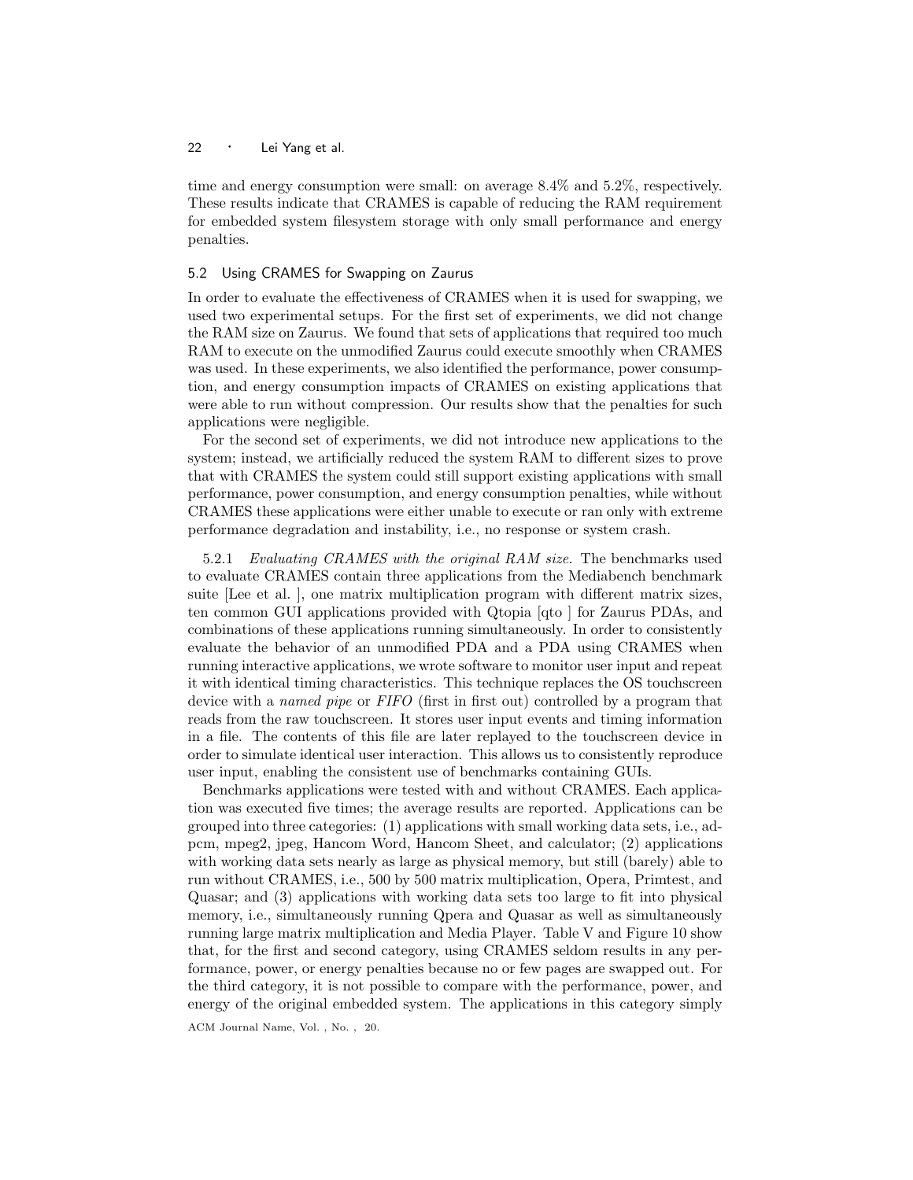time and energy consumption were small: on average 8.4% and 5.2%, respectively. These results indicate that CRAMES is capable of reducing the RAM requirement for embedded system filesystem storage with only small performance and energy penalties.

# 5.2 Using CRAMES for Swapping on Zaurus

In order to evaluate the effectiveness of CRAMES when it is used for swapping, we used two experimental setups. For the first set of experiments, we did not change the RAM size on Zaurus. We found that sets of applications that required too much RAM to execute on the unmodified Zaurus could execute smoothly when CRAMES was used. In these experiments, we also identified the performance, power consumption, and energy consumption impacts of CRAMES on existing applications that were able to run without compression. Our results show that the penalties for such applications were negligible.

For the second set of experiments, we did not introduce new applications to the system; instead, we artificially reduced the system RAM to different sizes to prove that with CRAMES the system could still support existing applications with small performance, power consumption, and energy consumption penalties, while without CRAMES these applications were either unable to execute or ran only with extreme performance degradation and instability, i.e., no response or system crash.

5.2.1 Evaluating CRAMES with the original RAM size. The benchmarks used to evaluate CRAMES contain three applications from the Mediabench benchmark suite [Lee et al. ], one matrix multiplication program with different matrix sizes, ten common GUI applications provided with Qtopia [qto ] for Zaurus PDAs, and combinations of these applications running simultaneously. In order to consistently evaluate the behavior of an unmodified PDA and a PDA using CRAMES when running interactive applications, we wrote software to monitor user input and repeat it with identical timing characteristics. This technique replaces the OS touchscreen device with a *named pipe* or *FIFO* (first in first out) controlled by a program that reads from the raw touchscreen. It stores user input events and timing information in a file. The contents of this file are later replayed to the touchscreen device in order to simulate identical user interaction. This allows us to consistently reproduce user input, enabling the consistent use of benchmarks containing GUIs.

Benchmarks applications were tested with and without CRAMES. Each application was executed five times; the average results are reported. Applications can be grouped into three categories: (1) applications with small working data sets, i.e., adpcm, mpeg2, jpeg, Hancom Word, Hancom Sheet, and calculator; (2) applications with working data sets nearly as large as physical memory, but still (barely) able to run without CRAMES, i.e., 500 by 500 matrix multiplication, Opera, Primtest, and Quasar; and (3) applications with working data sets too large to fit into physical memory, i.e., simultaneously running Qpera and Quasar as well as simultaneously running large matrix multiplication and Media Player. Table V and Figure 10 show that, for the first and second category, using CRAMES seldom results in any performance, power, or energy penalties because no or few pages are swapped out. For the third category, it is not possible to compare with the performance, power, and energy of the original embedded system. The applications in this category simply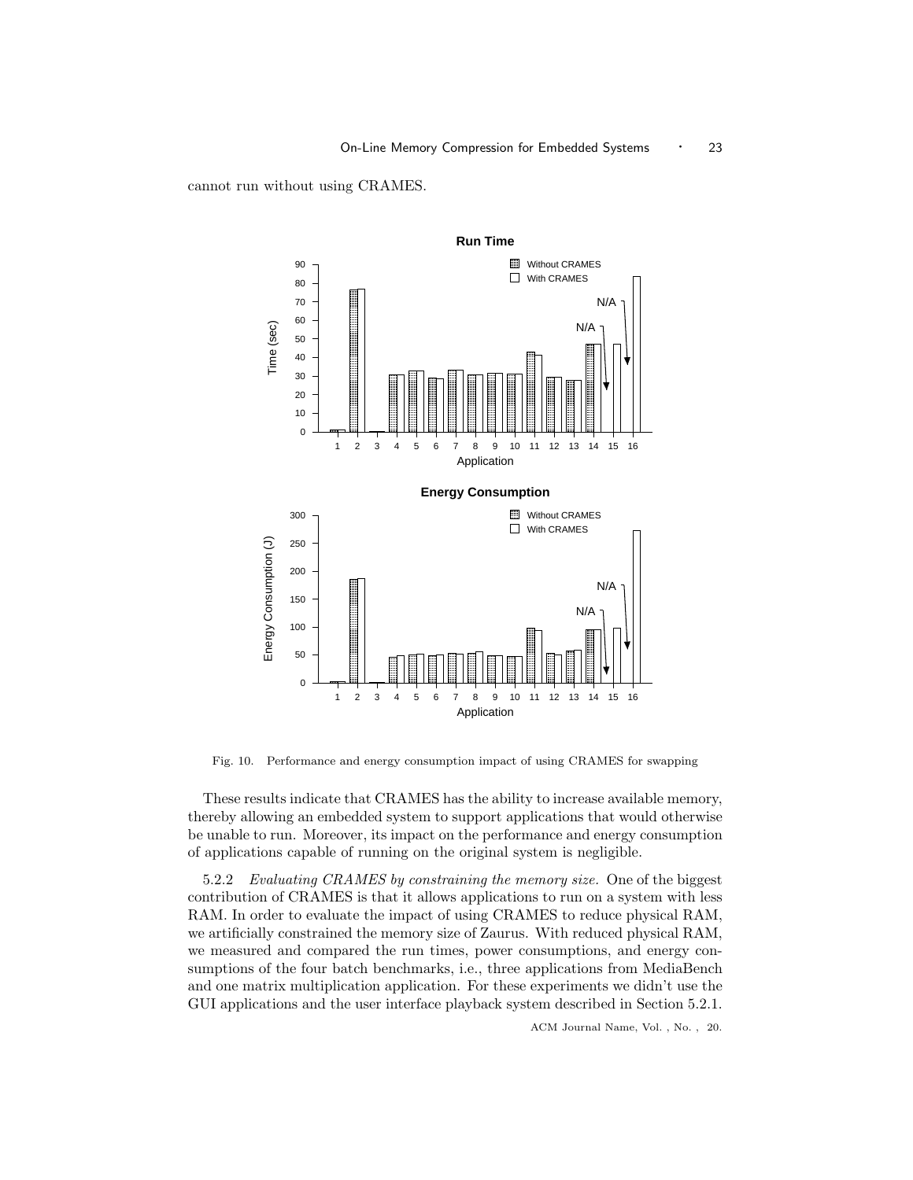cannot run without using CRAMES.



Fig. 10. Performance and energy consumption impact of using CRAMES for swapping

These results indicate that CRAMES has the ability to increase available memory, thereby allowing an embedded system to support applications that would otherwise be unable to run. Moreover, its impact on the performance and energy consumption of applications capable of running on the original system is negligible.

5.2.2 Evaluating CRAMES by constraining the memory size. One of the biggest contribution of CRAMES is that it allows applications to run on a system with less RAM. In order to evaluate the impact of using CRAMES to reduce physical RAM, we artificially constrained the memory size of Zaurus. With reduced physical RAM, we measured and compared the run times, power consumptions, and energy consumptions of the four batch benchmarks, i.e., three applications from MediaBench and one matrix multiplication application. For these experiments we didn't use the GUI applications and the user interface playback system described in Section 5.2.1.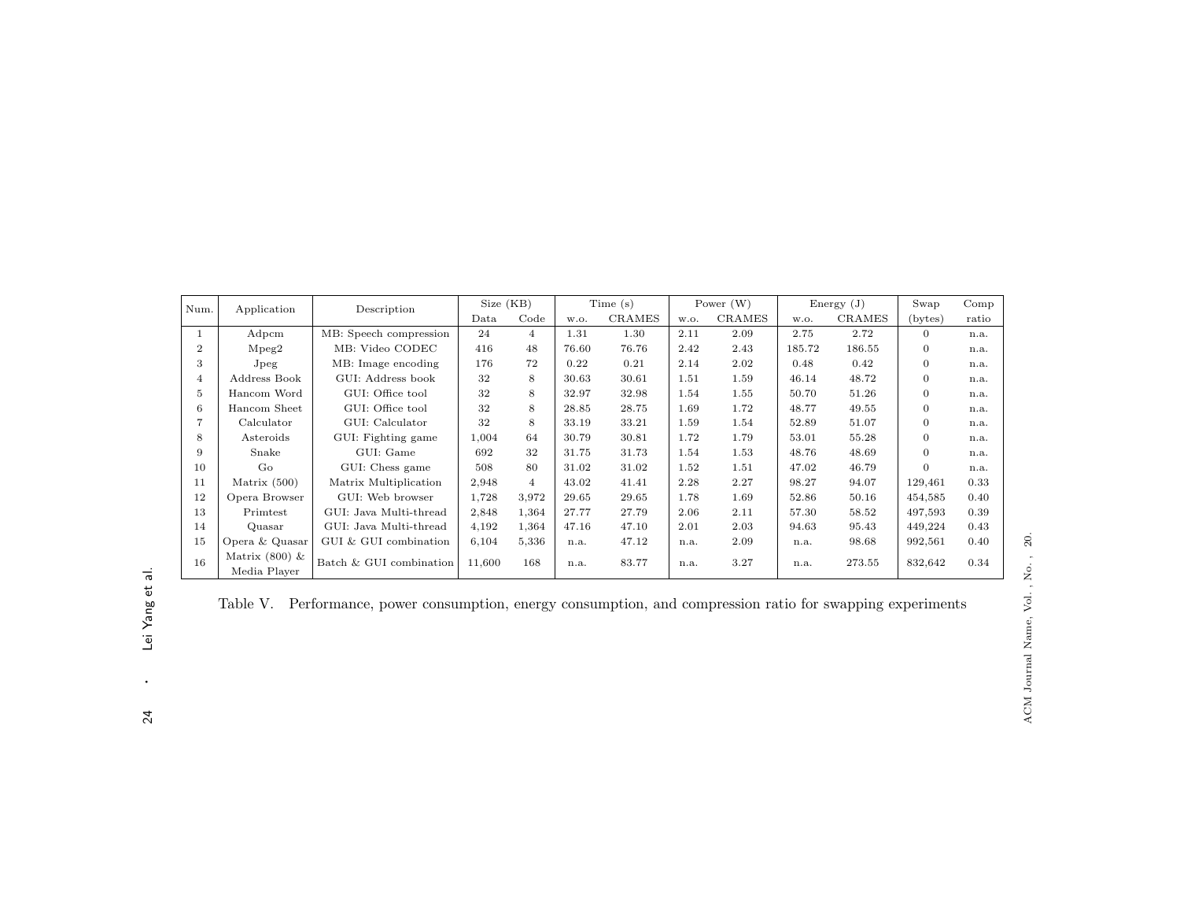| Num.<br>Application |                                  | Description             | Size (KB) |                | Time(s) |       | Power $(W)$ |      | Energy $(J)$ |         | Swap           | Comp |
|---------------------|----------------------------------|-------------------------|-----------|----------------|---------|-------|-------------|------|--------------|---------|----------------|------|
|                     | Data                             |                         | Code      | w.o.           | CRAMES  | w.o.  | CRAMES      | w.o. | CRAMES       | (bytes) | ratio          |      |
|                     | Adpcm                            | MB: Speech compression  | 24        | $\overline{4}$ | 1.31    | 1.30  | 2.11        | 2.09 | 2.75         | 2.72    | $\Omega$       | n.a. |
| $\overline{2}$      | Mpeg2                            | MB: Video CODEC         | 416       | 48             | 76.60   | 76.76 | 2.42        | 2.43 | 185.72       | 186.55  | $\theta$       | n.a. |
| 3                   | J <sub>peg</sub>                 | MB: Image encoding      | 176       | 72             | 0.22    | 0.21  | 2.14        | 2.02 | 0.48         | 0.42    | $\theta$       | n.a. |
| $\overline{4}$      | Address Book                     | GUI: Address book       | 32        | 8              | 30.63   | 30.61 | 1.51        | 1.59 | 46.14        | 48.72   | $\Omega$       | n.a. |
| 5                   | Hancom Word                      | GUI: Office tool        | 32        | 8              | 32.97   | 32.98 | 1.54        | 1.55 | 50.70        | 51.26   | $\Omega$       | n.a. |
| 6                   | Hancom Sheet                     | GUI: Office tool        | 32        | 8              | 28.85   | 28.75 | 1.69        | 1.72 | 48.77        | 49.55   | $\theta$       | n.a. |
|                     | Calculator                       | GUI: Calculator         | 32        | 8              | 33.19   | 33.21 | 1.59        | 1.54 | 52.89        | 51.07   | $\theta$       | n.a. |
| 8                   | Asteroids                        | GUI: Fighting game      | 1,004     | 64             | 30.79   | 30.81 | 1.72        | 1.79 | 53.01        | 55.28   | $\overline{0}$ | n.a. |
| 9                   | Snake                            | GUI: Game               | 692       | 32             | 31.75   | 31.73 | 1.54        | 1.53 | 48.76        | 48.69   | $\Omega$       | n.a. |
| 10                  | Go                               | GUI: Chess game         | 508       | 80             | 31.02   | 31.02 | 1.52        | 1.51 | 47.02        | 46.79   | $\overline{0}$ | n.a. |
| 11                  | Matrix (500)                     | Matrix Multiplication   | 2,948     | $\overline{4}$ | 43.02   | 41.41 | 2.28        | 2.27 | 98.27        | 94.07   | 129,461        | 0.33 |
| 12                  | Opera Browser                    | GUI: Web browser        | 1,728     | 3,972          | 29.65   | 29.65 | 1.78        | 1.69 | 52.86        | 50.16   | 454,585        | 0.40 |
| 13                  | Primtest                         | GUI: Java Multi-thread  | 2,848     | 1,364          | 27.77   | 27.79 | 2.06        | 2.11 | 57.30        | 58.52   | 497,593        | 0.39 |
| 14                  | Quasar                           | GUI: Java Multi-thread  | 4,192     | 1,364          | 47.16   | 47.10 | 2.01        | 2.03 | 94.63        | 95.43   | 449,224        | 0.43 |
| 15                  | Opera & Quasar                   | GUI & GUI combination   | 6,104     | 5,336          | n.a.    | 47.12 | n.a.        | 2.09 | n.a.         | 98.68   | 992,561        | 0.40 |
| 16                  | Matrix $(800)$ &<br>Media Player | Batch & GUI combination | 11,600    | 168            | n.a.    | 83.77 | n.a.        | 3.27 | n.a.         | 273.55  | 832,642        | 0.34 |

Table V. Performance, power consumption, energy consumption, and compression ratio for swapping experiments

Lei Yang et al. 24 · Lei Yang et al.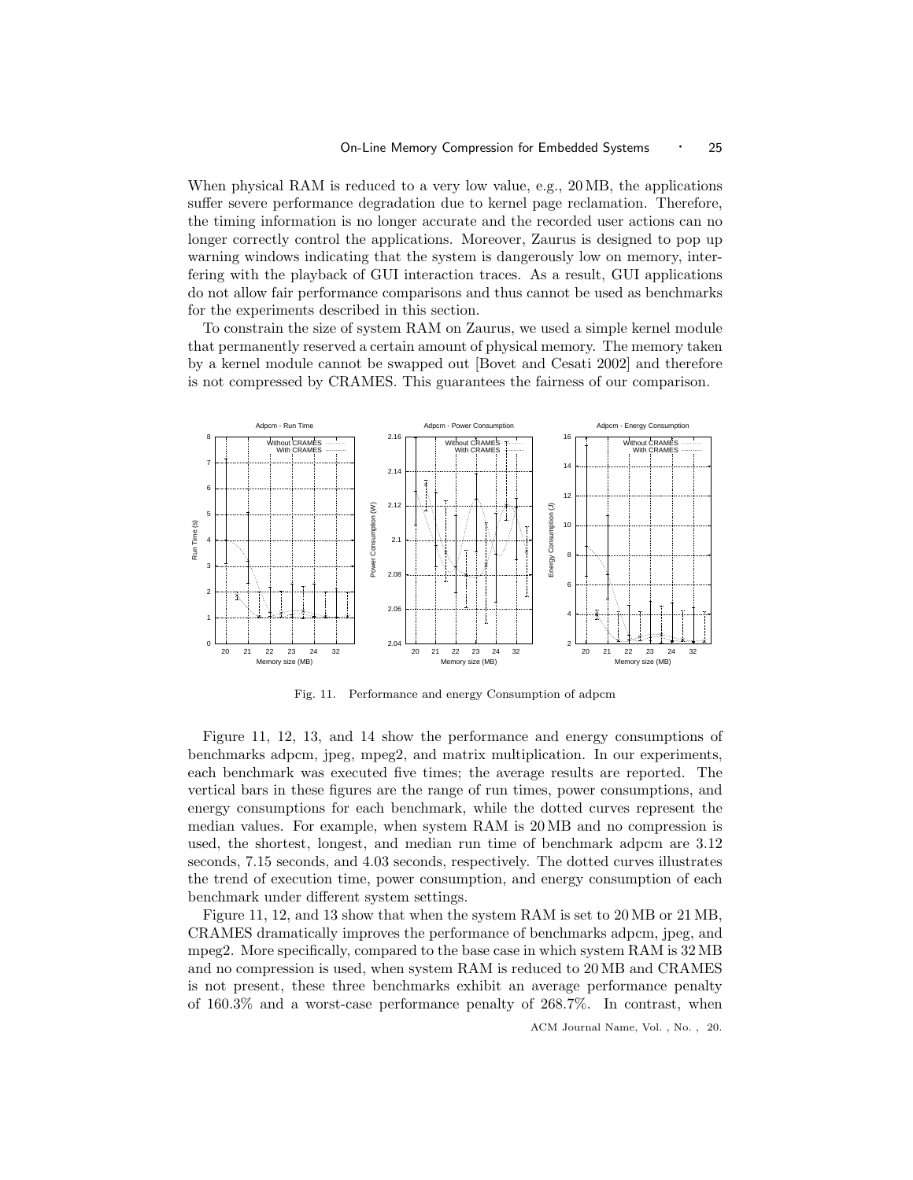When physical RAM is reduced to a very low value, e.g., 20 MB, the applications suffer severe performance degradation due to kernel page reclamation. Therefore, the timing information is no longer accurate and the recorded user actions can no longer correctly control the applications. Moreover, Zaurus is designed to pop up warning windows indicating that the system is dangerously low on memory, interfering with the playback of GUI interaction traces. As a result, GUI applications do not allow fair performance comparisons and thus cannot be used as benchmarks for the experiments described in this section.

To constrain the size of system RAM on Zaurus, we used a simple kernel module that permanently reserved a certain amount of physical memory. The memory taken by a kernel module cannot be swapped out [Bovet and Cesati 2002] and therefore is not compressed by CRAMES. This guarantees the fairness of our comparison.



Fig. 11. Performance and energy Consumption of adpcm

Figure 11, 12, 13, and 14 show the performance and energy consumptions of benchmarks adpcm, jpeg, mpeg2, and matrix multiplication. In our experiments, each benchmark was executed five times; the average results are reported. The vertical bars in these figures are the range of run times, power consumptions, and energy consumptions for each benchmark, while the dotted curves represent the median values. For example, when system RAM is 20 MB and no compression is used, the shortest, longest, and median run time of benchmark adpcm are 3.12 seconds, 7.15 seconds, and 4.03 seconds, respectively. The dotted curves illustrates the trend of execution time, power consumption, and energy consumption of each benchmark under different system settings.

Figure 11, 12, and 13 show that when the system RAM is set to 20 MB or 21 MB, CRAMES dramatically improves the performance of benchmarks adpcm, jpeg, and mpeg2. More specifically, compared to the base case in which system RAM is 32 MB and no compression is used, when system RAM is reduced to 20 MB and CRAMES is not present, these three benchmarks exhibit an average performance penalty of 160.3% and a worst-case performance penalty of 268.7%. In contrast, when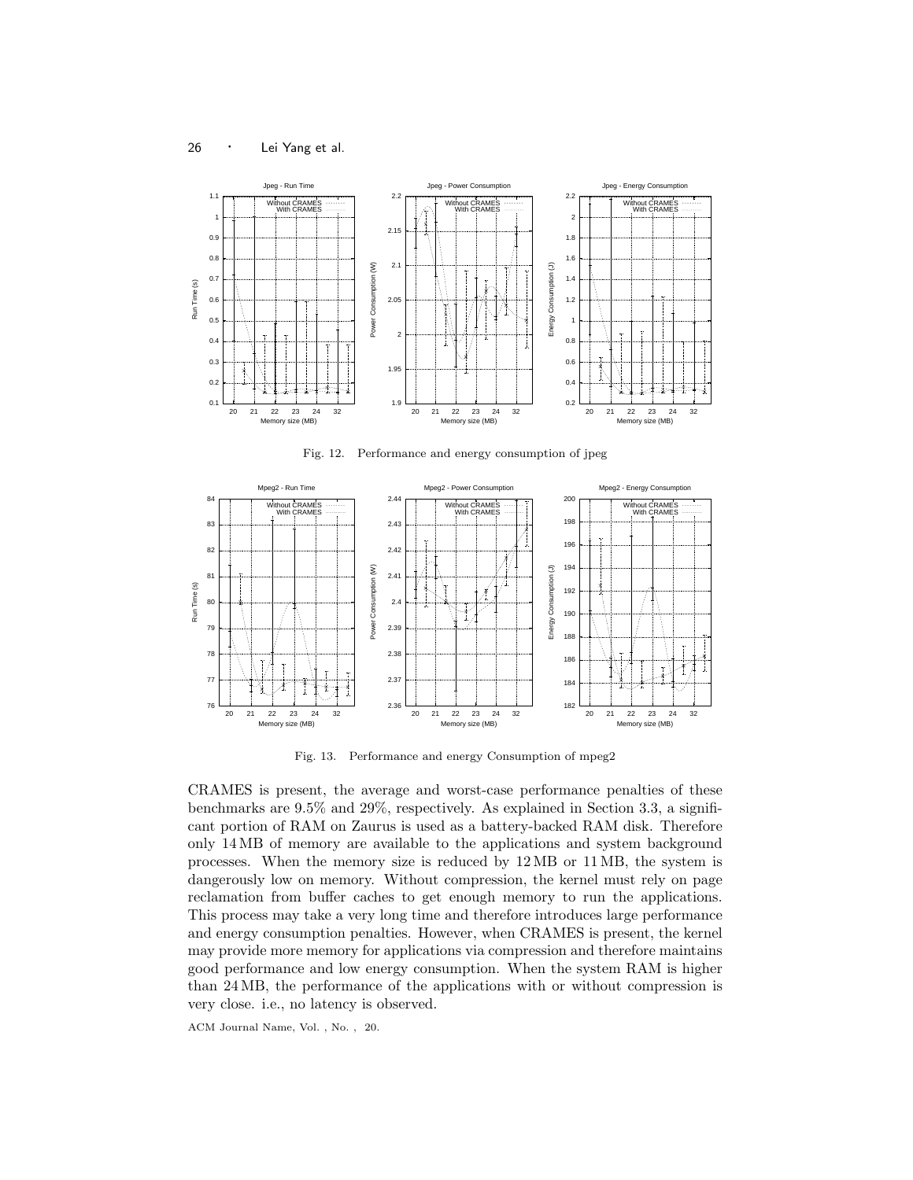

Fig. 12. Performance and energy consumption of jpeg



Fig. 13. Performance and energy Consumption of mpeg2

CRAMES is present, the average and worst-case performance penalties of these benchmarks are 9.5% and 29%, respectively. As explained in Section 3.3, a significant portion of RAM on Zaurus is used as a battery-backed RAM disk. Therefore only 14 MB of memory are available to the applications and system background processes. When the memory size is reduced by 12 MB or 11 MB, the system is dangerously low on memory. Without compression, the kernel must rely on page reclamation from buffer caches to get enough memory to run the applications. This process may take a very long time and therefore introduces large performance and energy consumption penalties. However, when CRAMES is present, the kernel may provide more memory for applications via compression and therefore maintains good performance and low energy consumption. When the system RAM is higher than 24 MB, the performance of the applications with or without compression is very close. i.e., no latency is observed.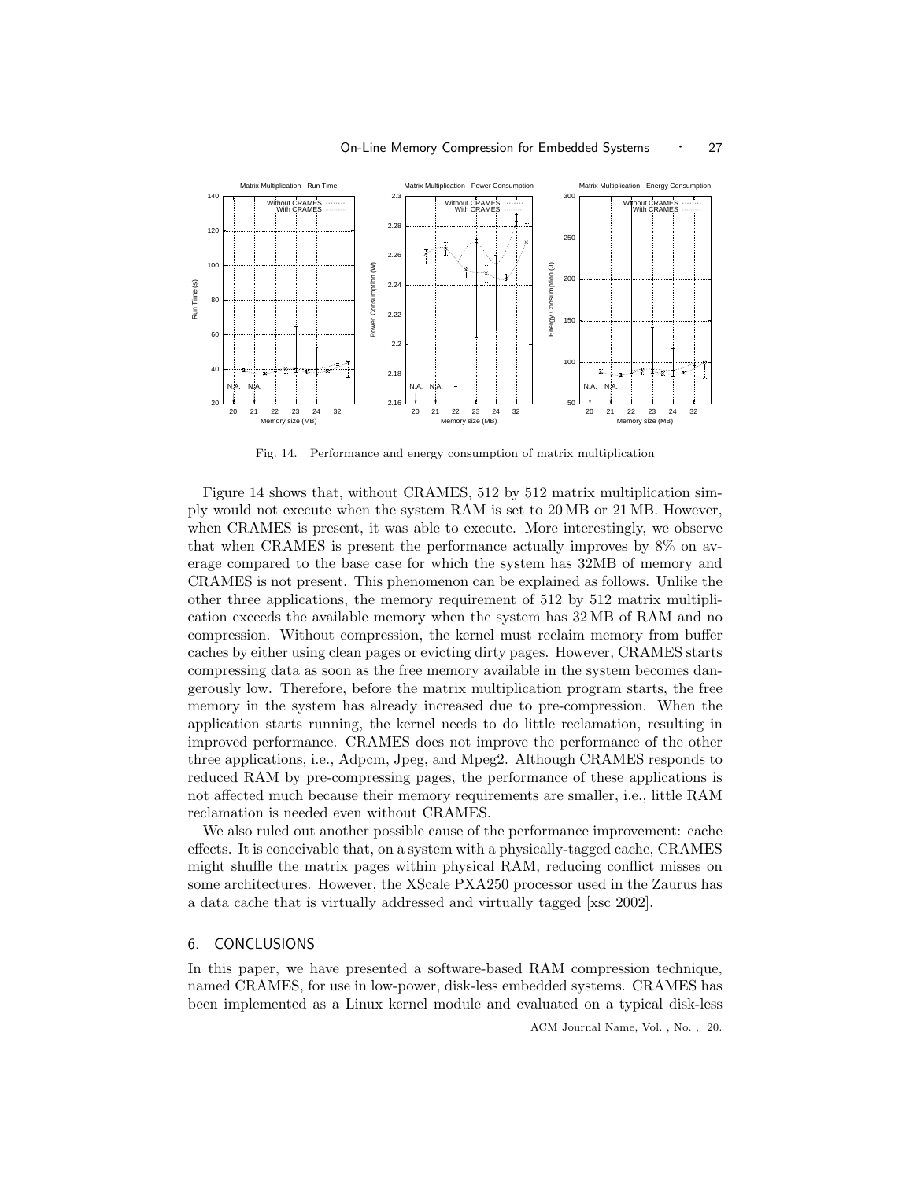

Fig. 14. Performance and energy consumption of matrix multiplication

Figure 14 shows that, without CRAMES, 512 by 512 matrix multiplication simply would not execute when the system RAM is set to 20 MB or 21 MB. However, when CRAMES is present, it was able to execute. More interestingly, we observe that when CRAMES is present the performance actually improves by 8% on average compared to the base case for which the system has 32MB of memory and CRAMES is not present. This phenomenon can be explained as follows. Unlike the other three applications, the memory requirement of 512 by 512 matrix multiplication exceeds the available memory when the system has 32 MB of RAM and no compression. Without compression, the kernel must reclaim memory from buffer caches by either using clean pages or evicting dirty pages. However, CRAMES starts compressing data as soon as the free memory available in the system becomes dangerously low. Therefore, before the matrix multiplication program starts, the free memory in the system has already increased due to pre-compression. When the application starts running, the kernel needs to do little reclamation, resulting in improved performance. CRAMES does not improve the performance of the other three applications, i.e., Adpcm, Jpeg, and Mpeg2. Although CRAMES responds to reduced RAM by pre-compressing pages, the performance of these applications is not affected much because their memory requirements are smaller, i.e., little RAM reclamation is needed even without CRAMES.

We also ruled out another possible cause of the performance improvement: cache effects. It is conceivable that, on a system with a physically-tagged cache, CRAMES might shuffle the matrix pages within physical RAM, reducing conflict misses on some architectures. However, the XScale PXA250 processor used in the Zaurus has a data cache that is virtually addressed and virtually tagged [xsc 2002].

## 6. CONCLUSIONS

In this paper, we have presented a software-based RAM compression technique, named CRAMES, for use in low-power, disk-less embedded systems. CRAMES has been implemented as a Linux kernel module and evaluated on a typical disk-less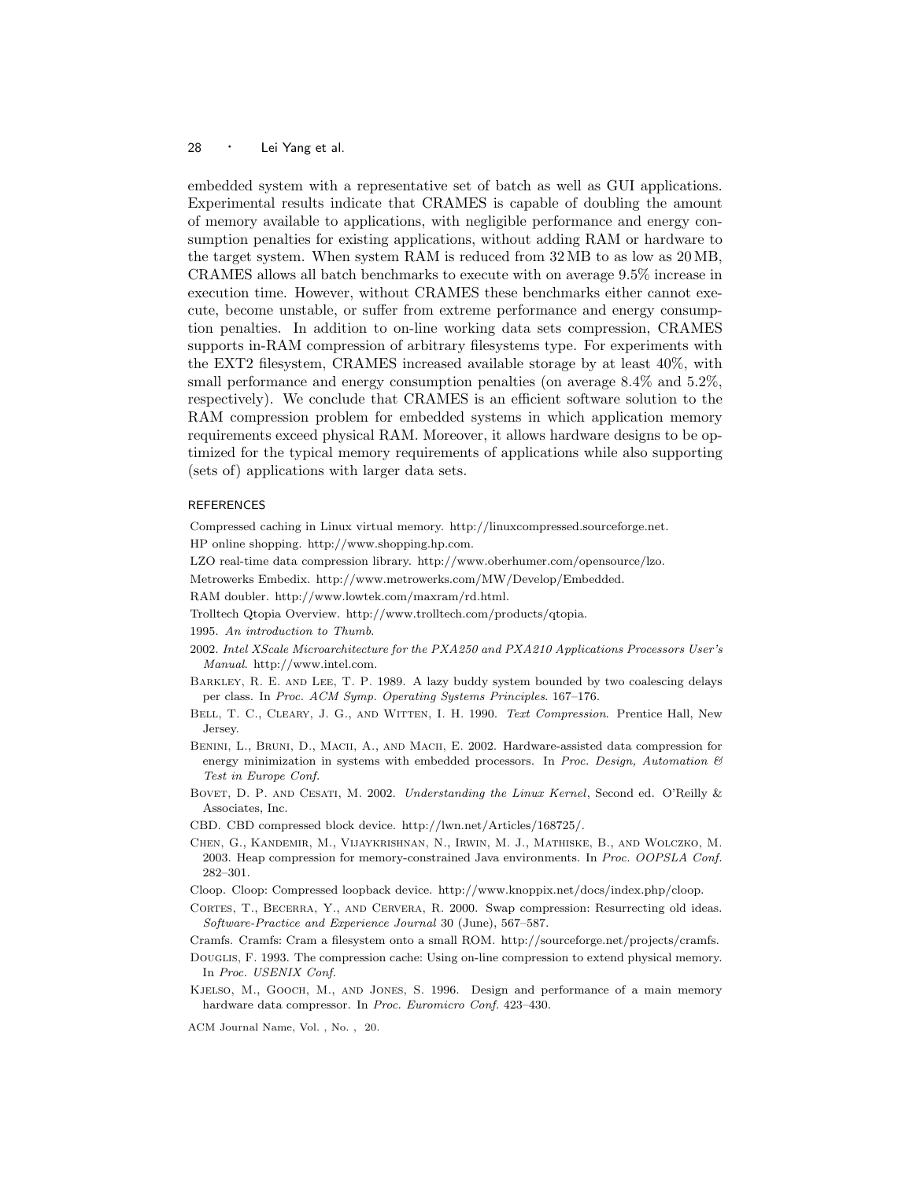embedded system with a representative set of batch as well as GUI applications. Experimental results indicate that CRAMES is capable of doubling the amount of memory available to applications, with negligible performance and energy consumption penalties for existing applications, without adding RAM or hardware to the target system. When system RAM is reduced from 32 MB to as low as 20 MB, CRAMES allows all batch benchmarks to execute with on average 9.5% increase in execution time. However, without CRAMES these benchmarks either cannot execute, become unstable, or suffer from extreme performance and energy consumption penalties. In addition to on-line working data sets compression, CRAMES supports in-RAM compression of arbitrary filesystems type. For experiments with the EXT2 filesystem, CRAMES increased available storage by at least 40%, with small performance and energy consumption penalties (on average 8.4% and 5.2%, respectively). We conclude that CRAMES is an efficient software solution to the RAM compression problem for embedded systems in which application memory requirements exceed physical RAM. Moreover, it allows hardware designs to be optimized for the typical memory requirements of applications while also supporting (sets of) applications with larger data sets.

#### REFERENCES

Compressed caching in Linux virtual memory. http://linuxcompressed.sourceforge.net. HP online shopping. http://www.shopping.hp.com.

LZO real-time data compression library. http://www.oberhumer.com/opensource/lzo.

Metrowerks Embedix. http://www.metrowerks.com/MW/Develop/Embedded.

RAM doubler. http://www.lowtek.com/maxram/rd.html.

Trolltech Qtopia Overview. http://www.trolltech.com/products/qtopia.

1995. An introduction to Thumb.

- 2002. Intel XScale Microarchitecture for the PXA250 and PXA210 Applications Processors User's Manual. http://www.intel.com.
- BARKLEY, R. E. AND LEE, T. P. 1989. A lazy buddy system bounded by two coalescing delays per class. In Proc. ACM Symp. Operating Systems Principles. 167–176.
- BELL, T. C., CLEARY, J. G., AND WITTEN, I. H. 1990. Text Compression. Prentice Hall, New Jersey.
- Benini, L., Bruni, D., Macii, A., and Macii, E. 2002. Hardware-assisted data compression for energy minimization in systems with embedded processors. In Proc. Design, Automation  $\mathcal{B}$ Test in Europe Conf.
- BOVET, D. P. AND CESATI, M. 2002. Understanding the Linux Kernel, Second ed. O'Reilly & Associates, Inc.
- CBD. CBD compressed block device. http://lwn.net/Articles/168725/.
- Chen, G., Kandemir, M., Vijaykrishnan, N., Irwin, M. J., Mathiske, B., and Wolczko, M. 2003. Heap compression for memory-constrained Java environments. In Proc. OOPSLA Conf. 282–301.
- Cloop. Cloop: Compressed loopback device. http://www.knoppix.net/docs/index.php/cloop.
- CORTES, T., BECERRA, Y., AND CERVERA, R. 2000. Swap compression: Resurrecting old ideas. Software-Practice and Experience Journal 30 (June), 567–587.
- Cramfs. Cramfs: Cram a filesystem onto a small ROM. http://sourceforge.net/projects/cramfs.
- Douglis, F. 1993. The compression cache: Using on-line compression to extend physical memory. In Proc. USENIX Conf.
- Kjelso, M., Gooch, M., and Jones, S. 1996. Design and performance of a main memory hardware data compressor. In Proc. Euromicro Conf. 423–430.